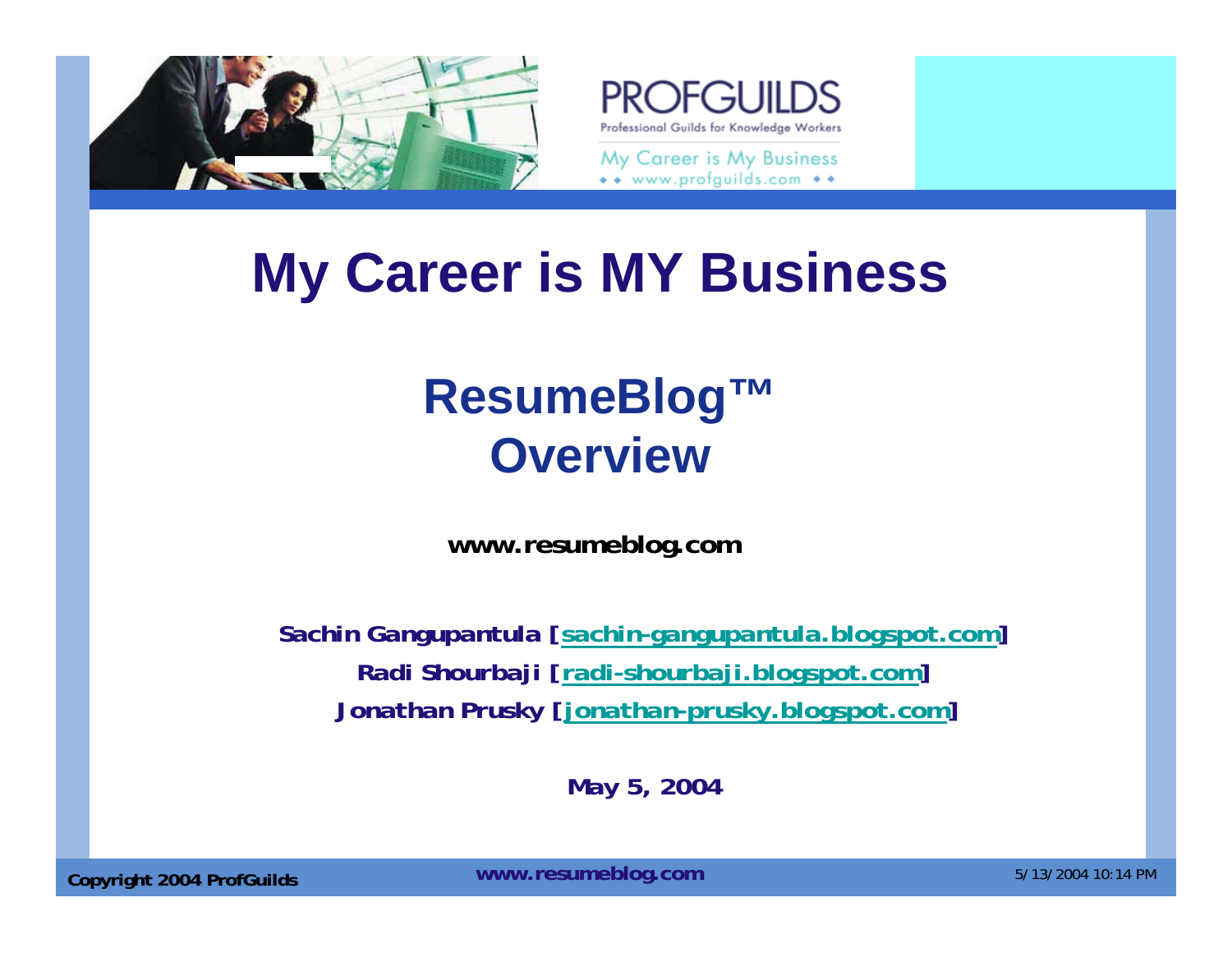



\*\* www.profguilds.com \*\*

## **My Career is MY Business**

## **ResumeBlog™ Overview**

**www.resumeblog.com**

*Sachin Gangupantula [sachin-gangupantula.blogspot.com] Radi Shourbaji [radi-shourbaji.blogspot.com] Jonathan Prusky [jonathan-prusky.blogspot.com]* 

*May 5, 2004*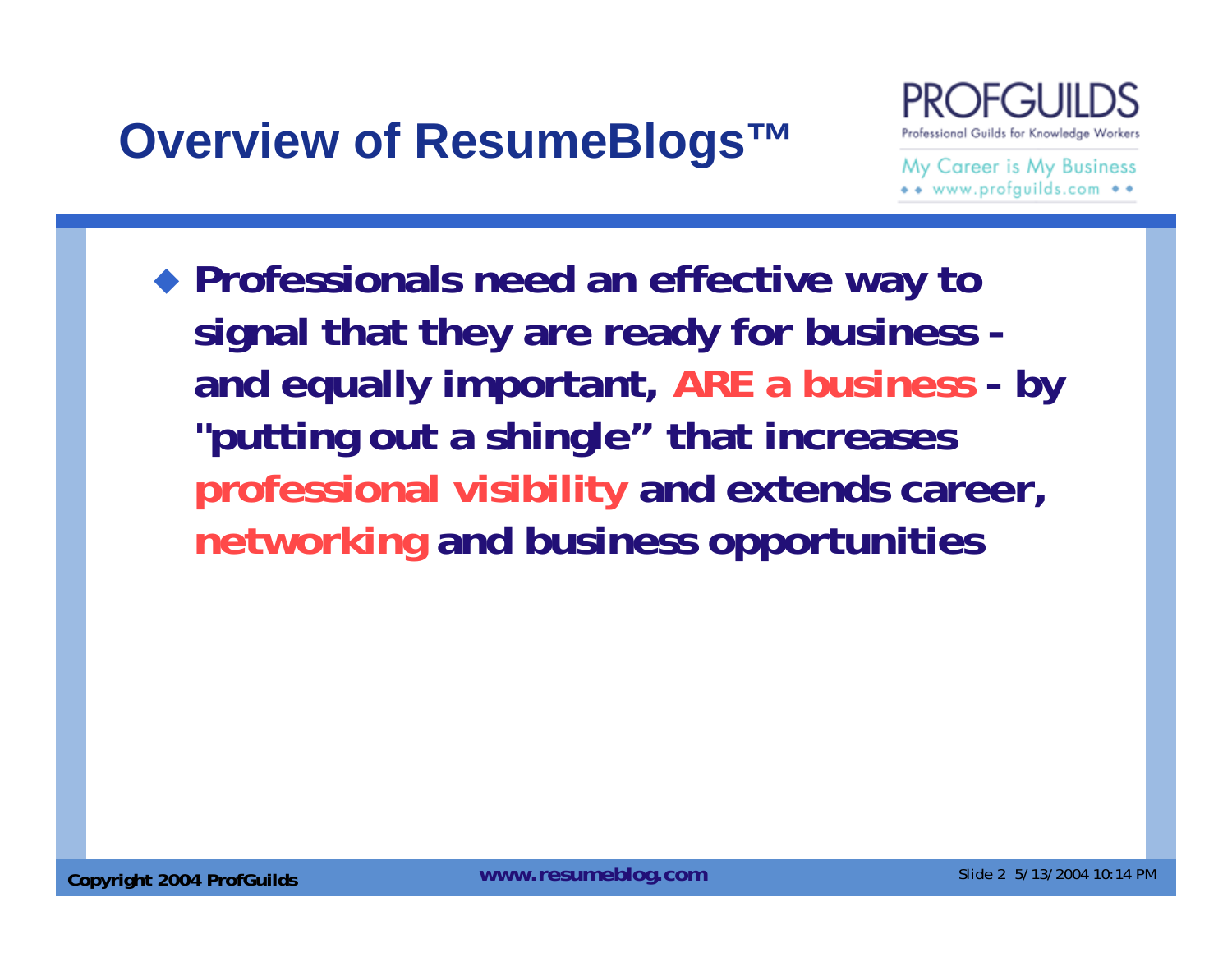## **Overview of ResumeBlogs™**



My Career is My Business \*\* www.profguilds.com \*\*

 **Professionals need an effective way to signal that they are ready for business and equally important, ARE a business - by "putting out a shingle" that increases professional visibility and extends career, networking and business opportunities**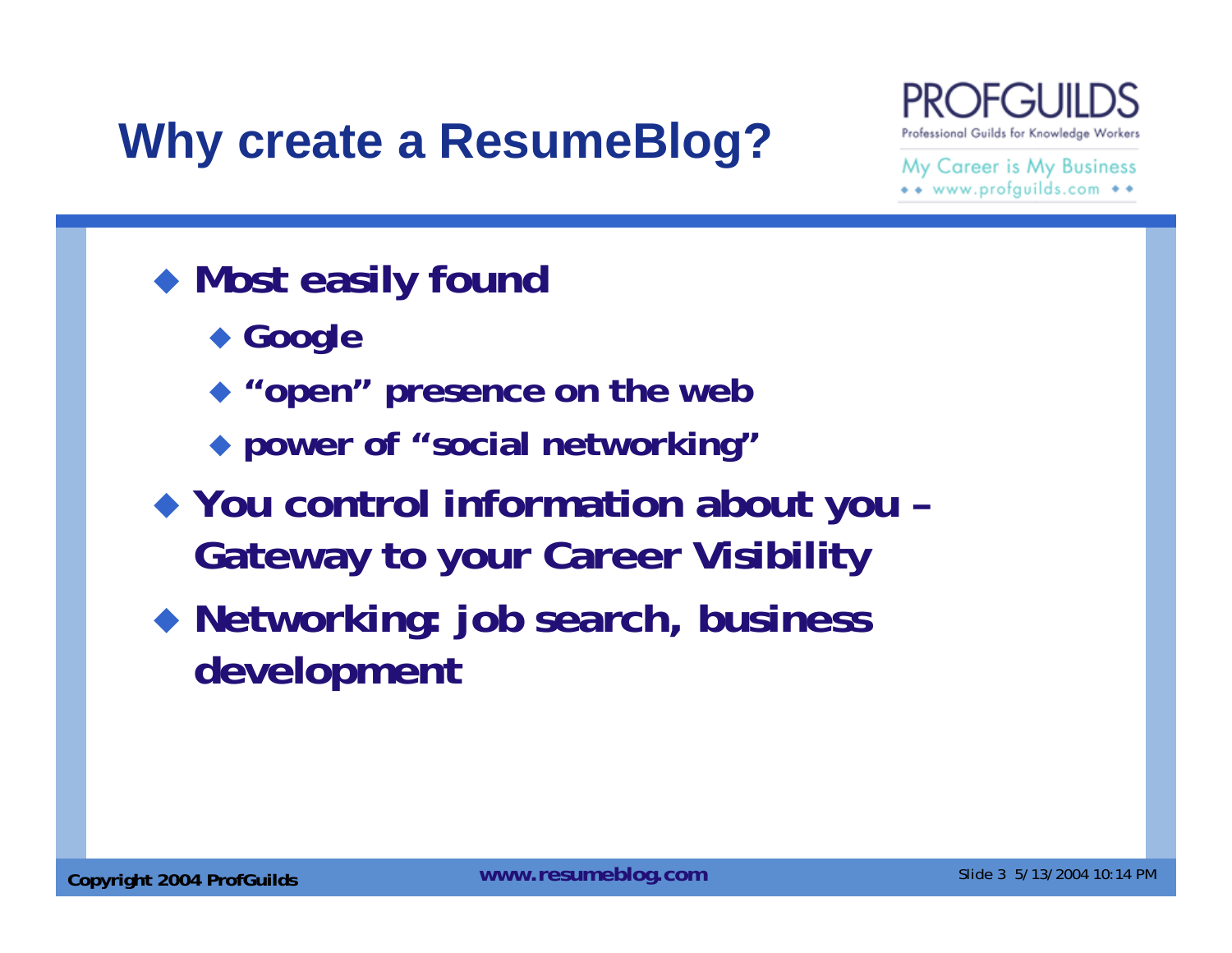## **Why create a ResumeBlog?**



- **Most easily found** 
	- **Google**
	- **"open" presence on the web**
	- **power of "social networking"**
- **You control information about you – Gateway to your Career Visibility**
- **Networking: job search, business development**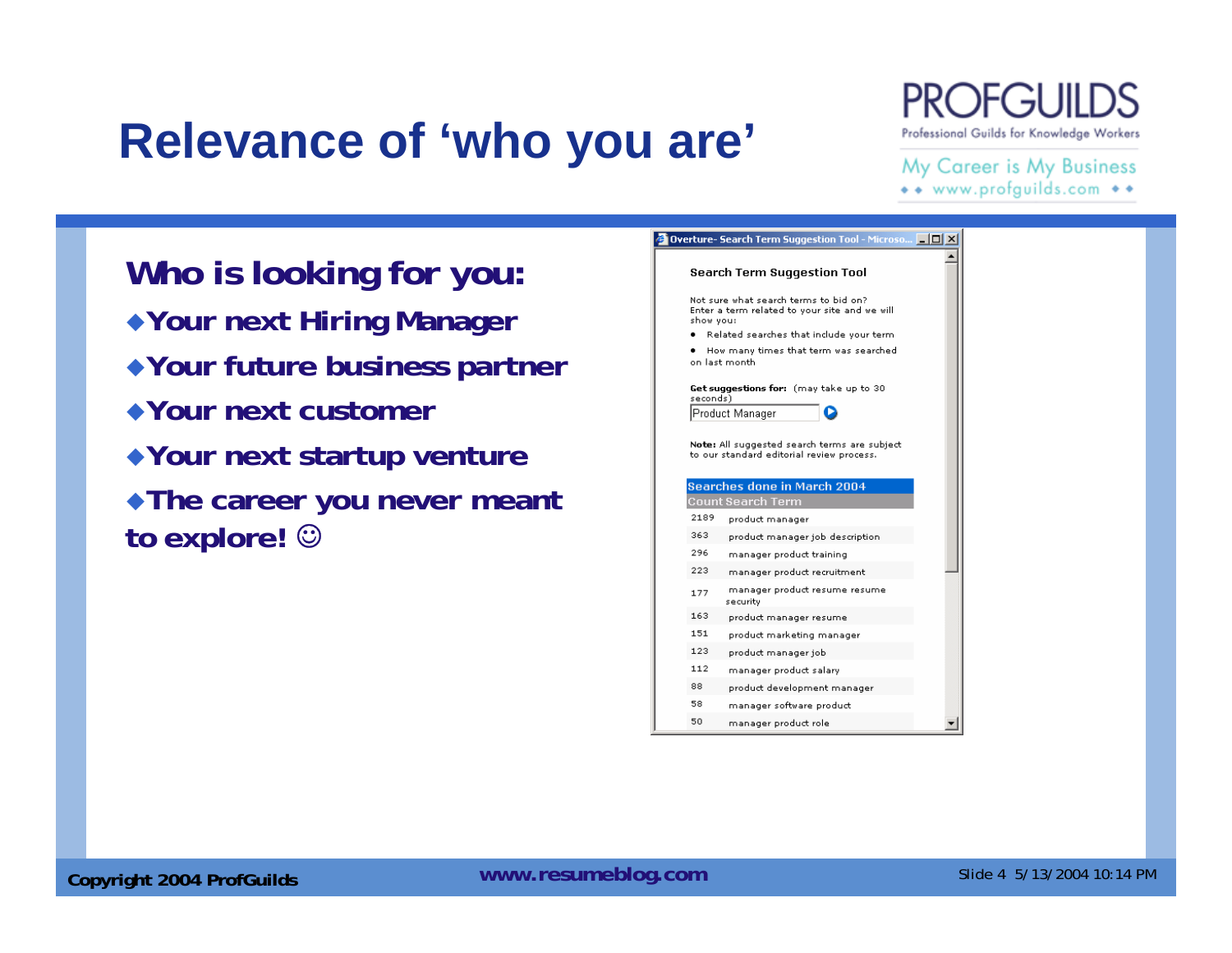## **Relevance of 'who you are'**

## Professional Guilds for Knowledge Workers

#### My Career is My Business \*\* www.profguilds.com \*\*

**Who is looking for you: Your next Hiring Manager Your future business partner Your next customer Your next startup venture The career you never meant to explore!** ☺

|           | <b>Overture- Search Term Suggestion Tool - Microso</b>                                 |  |
|-----------|----------------------------------------------------------------------------------------|--|
|           | Search Term Suggestion Tool                                                            |  |
| show you: | Not sure what search terms to bid on?<br>Enter a term related to your site and we will |  |
|           | Related searches that include your term.                                               |  |
|           | How many times that term was searched<br>on last month.                                |  |
| seconds)  | Get suggestions for: (may take up to 30                                                |  |
|           | Product Manager                                                                        |  |
|           | to our standard editorial review process.<br><b>Searches done in March 2004</b>        |  |
|           |                                                                                        |  |
| 2189      | Count Search Term                                                                      |  |
| 363       | product manager<br>product manager job description                                     |  |
| 296       | manager product training                                                               |  |
| 223       | manager product recruitment                                                            |  |
| 177       | manager product resume resume<br>security                                              |  |
| 163       | product manager resume                                                                 |  |
| 151       | product marketing manager                                                              |  |
| 123       | product manager job                                                                    |  |
| 112       | manager product salary                                                                 |  |
| 88        | product development manager                                                            |  |
| 58        | manager software product                                                               |  |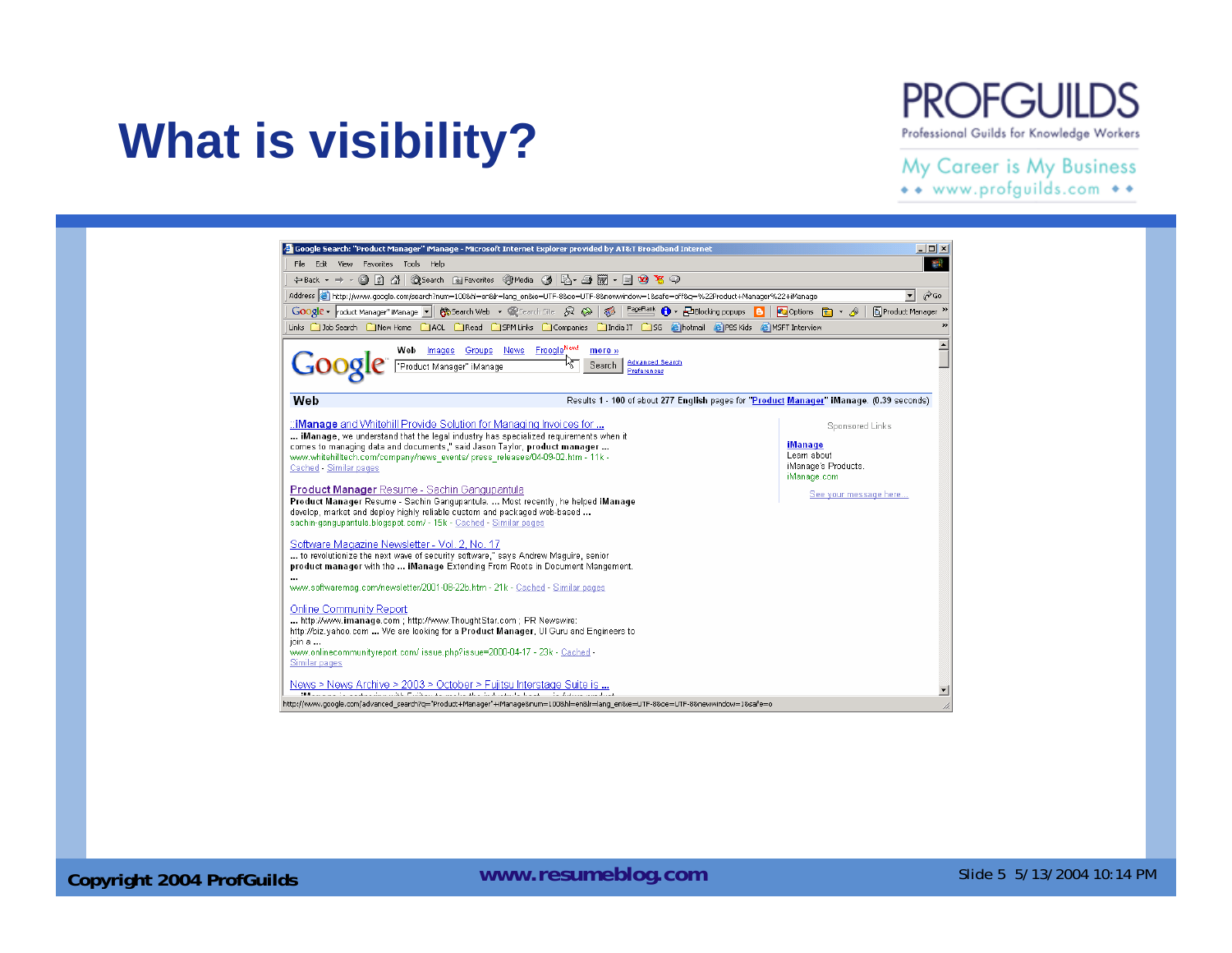#### **PROFGUILDS** Professional Guilds for Knowledge Workers

#### My Career is My Business

\*\* www.profguilds.com \*\*



**What is visibility?**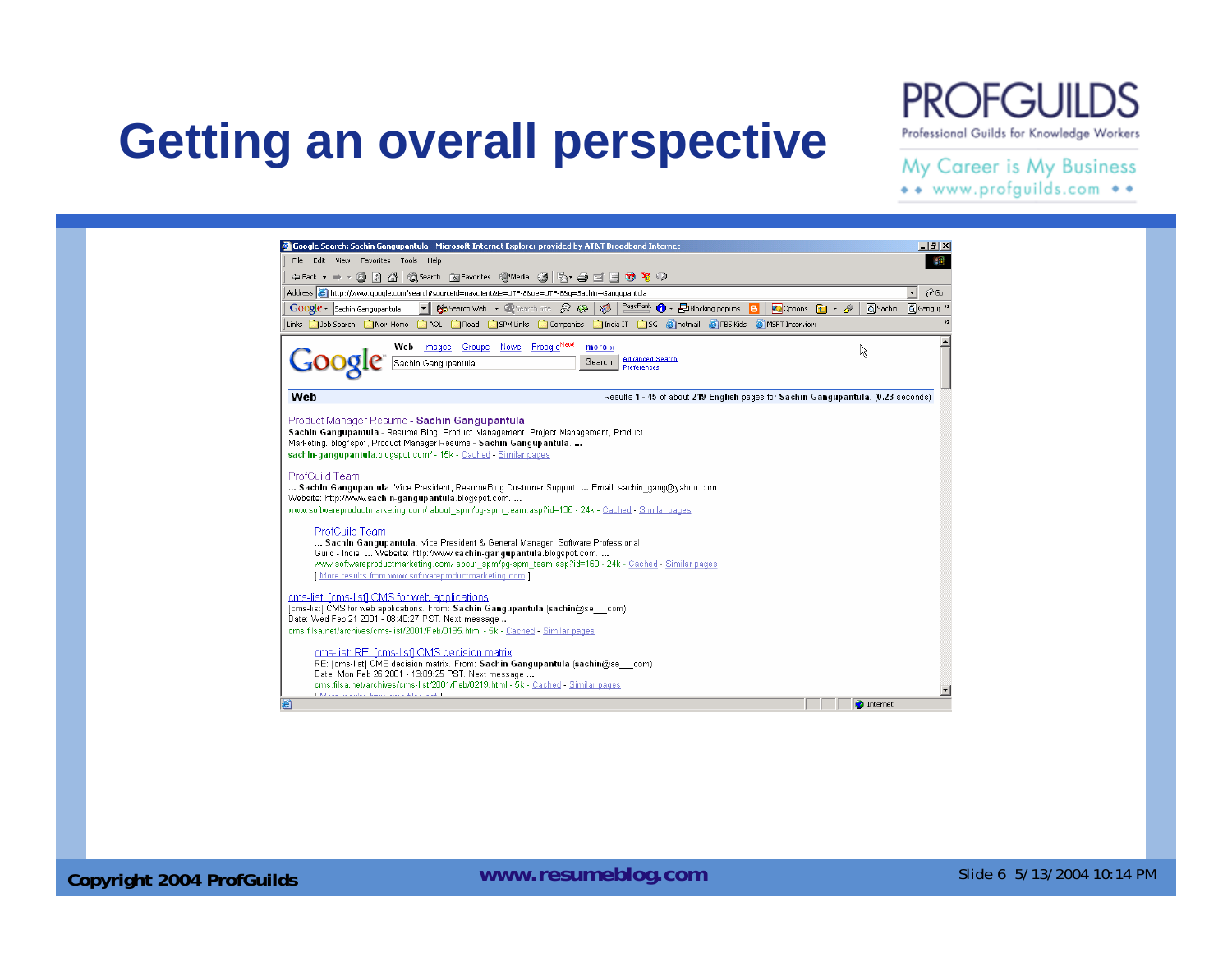## **Getting an overall perspective**

### **PROFGUIL**

Professional Guilds for Knowledge Workers

#### My Career is My Business

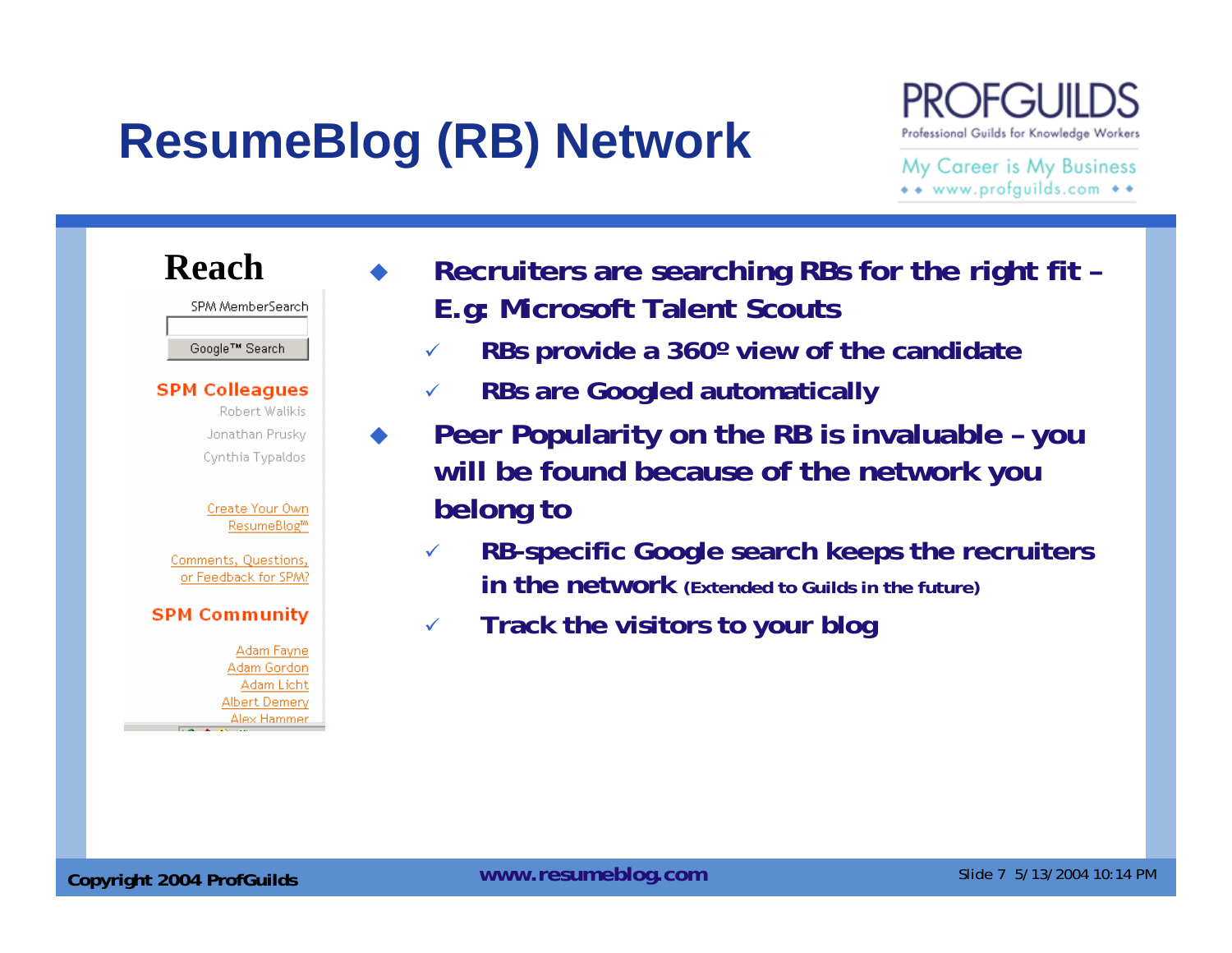## **ResumeBlog (RB) Network**

♦

Professional Guilds for Knowledge Workers

My Career is My Business \*\* www.profguilds.com \*\*

#### **Reach** SPM MemberSearch Google™ Search **SPM Colleagues** Robert Walikis Jonathan Prusky Cynthia Typaldos Create Your Own ResumeBlog<sup>tm</sup> Comments, Questions, or Feedback for SPM? **SPM Community** Adam Fayne Adam Gordon Adam Licht Albert Demery **Alex Hammer**  $\sim$  100  $\sigma$

- **Recruiters are searching RBs for the right fit – E.g: Microsoft Talent Scouts**
	- $\checkmark$ **RBs provide a 360º view of the candidate**
	- $\checkmark$ **RBs are Googled automatically**
- **Peer Popularity on the RB is invaluable – you will be found because of the network you belong to**
	- $\checkmark$  **RB-specific Google search keeps the recruiters in the network (Extended to Guilds in the future)**
	- $\checkmark$ **Track the visitors to your blog**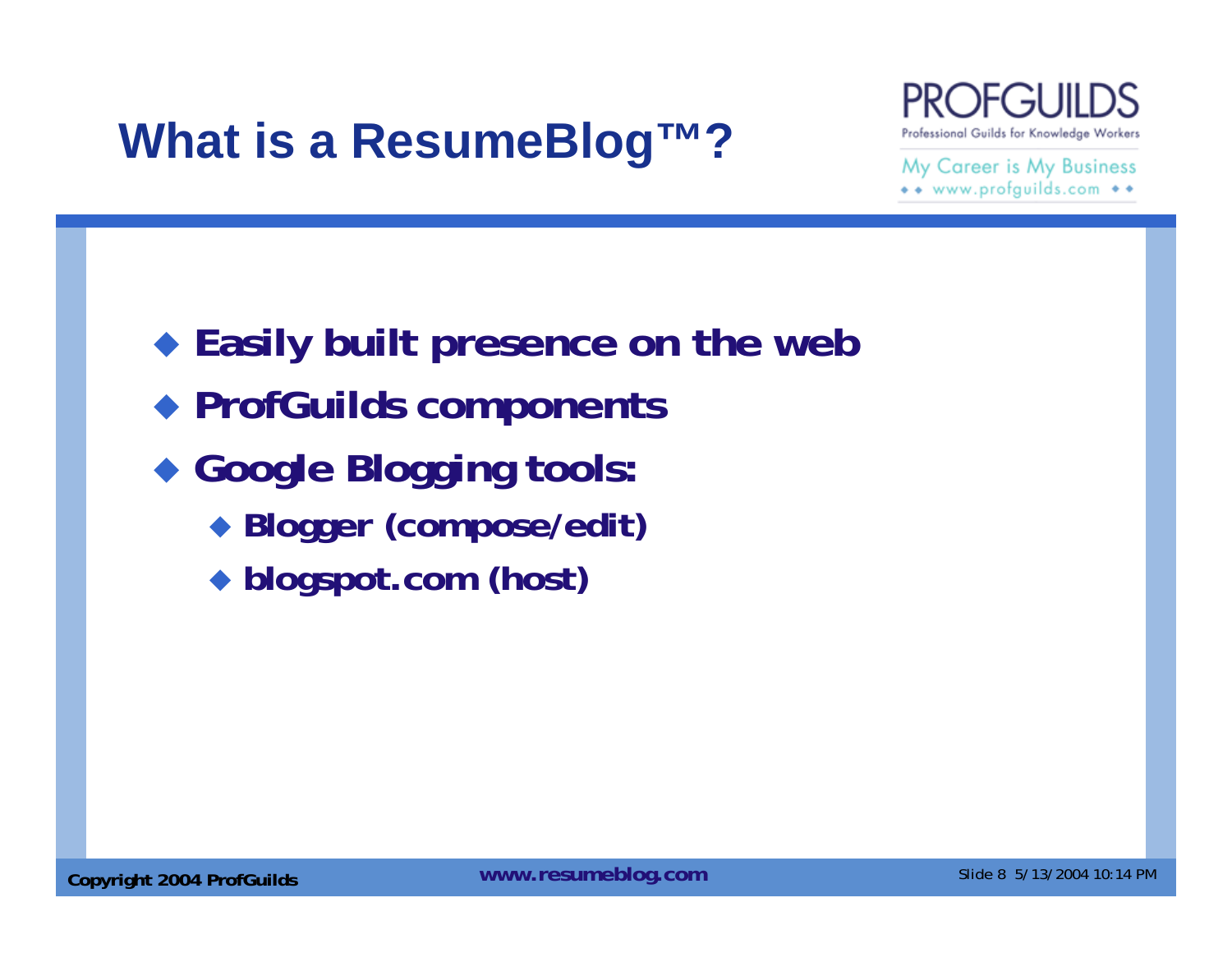## **What is a ResumeBlog™?**



My Career is My Business \*\* www.profguilds.com \*\*

 **Easily built presence on the web ProfGuilds components Google Blogging tools: Blogger (compose/edit) blogspot.com (host)**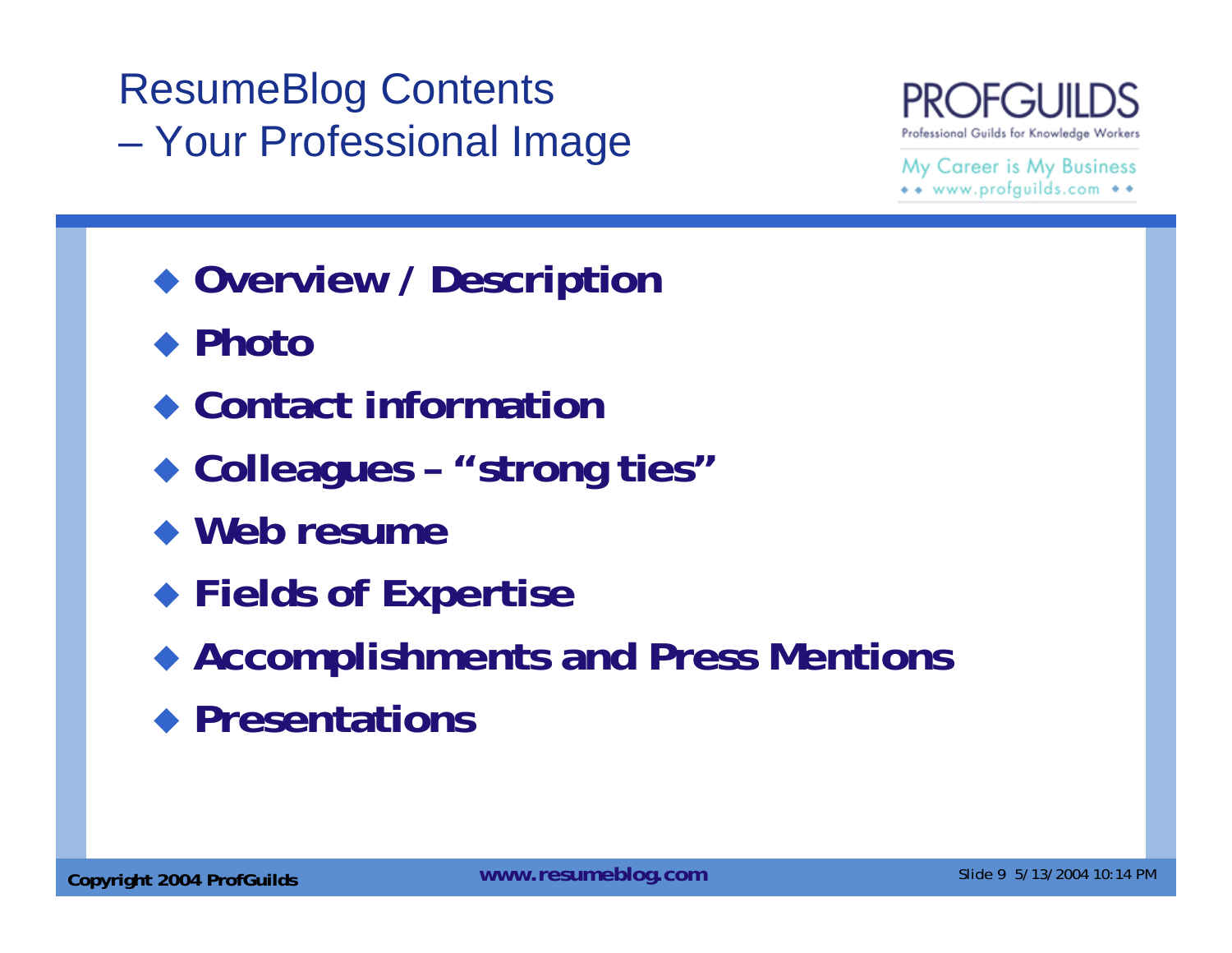### ResumeBlog Contents Your Professional Image



- **Overview / Description**
- ◆ Photo
- **Contact information**
- **Colleagues – "strong ties"**
- **Web resume**
- **Fields of Expertise**
- **Accomplishments and Press Mentions**
- **Presentations**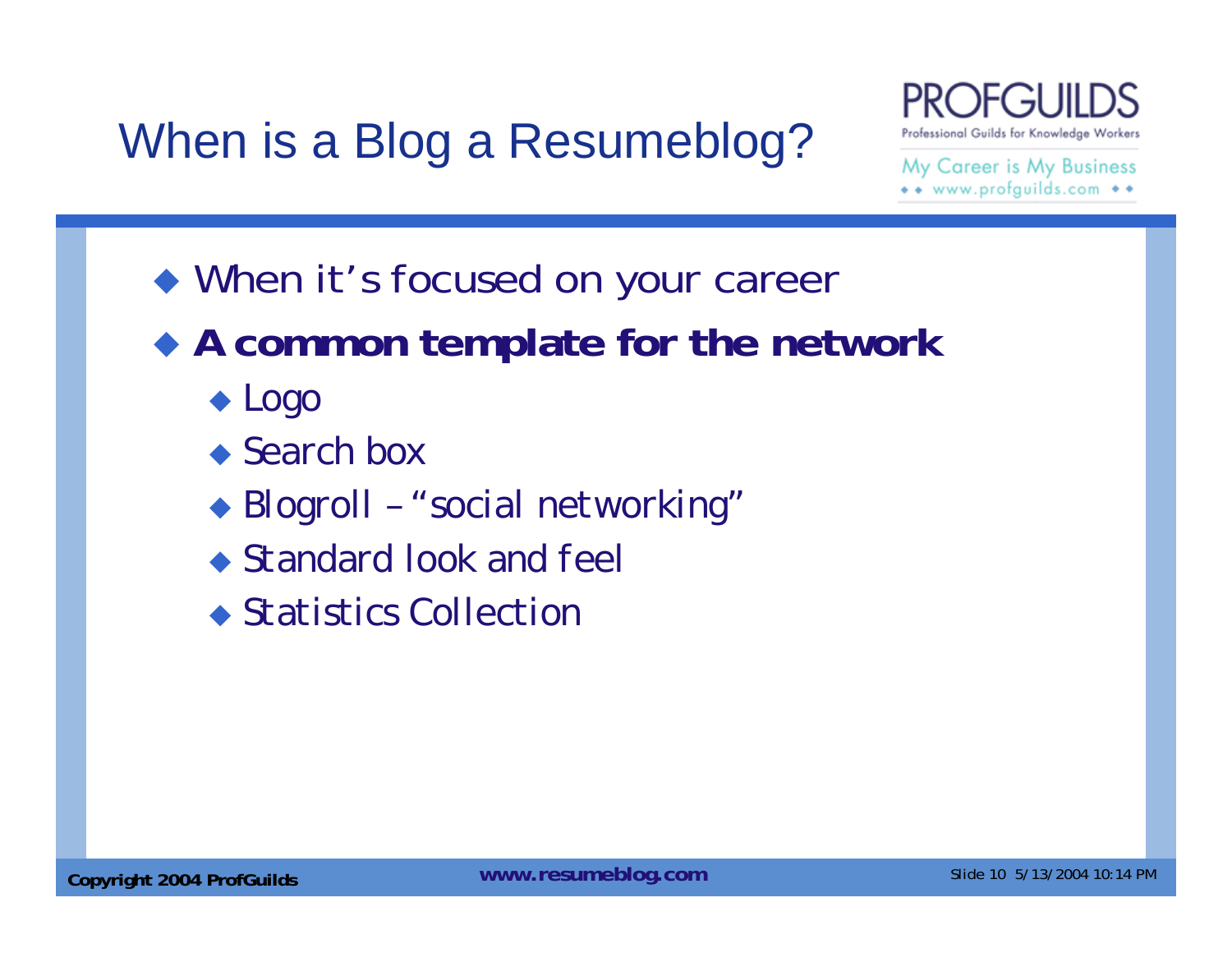## When is a Blog a Resumeblog?



- When it's focused on your career
- **A common template for the network**
	- *Logo*
	- *Search box*
	- *Blogroll – "social networking"*
	- *Standard look and feel*
	- *Statistics Collection*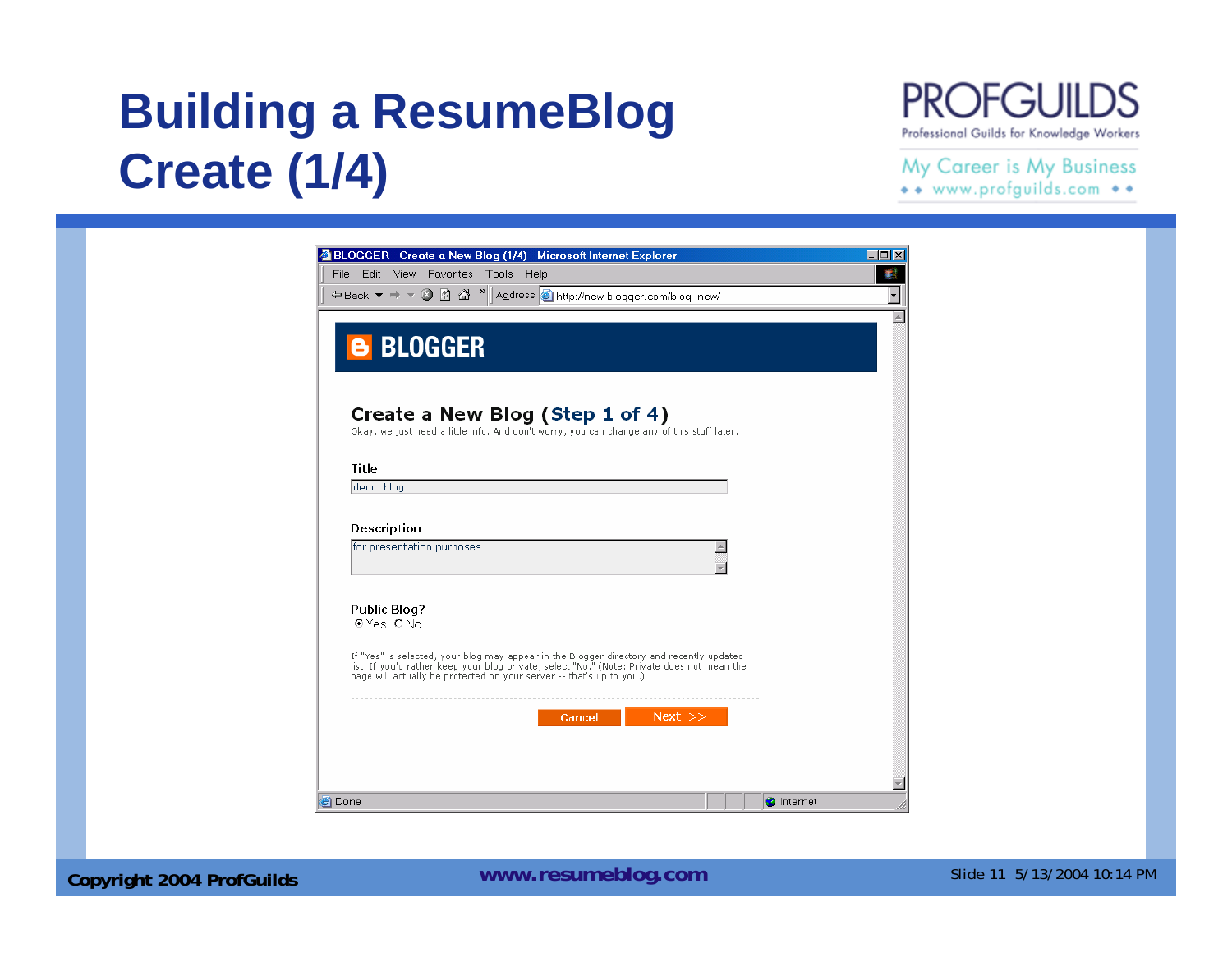## **Building a ResumeBlog Create (1/4)**



#### My Career is My Business

| File Edit View Favorites Tools Help<br>← Back ▼ ⇒ ▼ ② ② △ ™ Address + http://new.blogger.com/blog_new/                                                                                  |             |  |
|-----------------------------------------------------------------------------------------------------------------------------------------------------------------------------------------|-------------|--|
|                                                                                                                                                                                         |             |  |
|                                                                                                                                                                                         |             |  |
| <b>B BLOGGER</b>                                                                                                                                                                        |             |  |
|                                                                                                                                                                                         |             |  |
|                                                                                                                                                                                         |             |  |
| Create a New Blog (Step 1 of 4)                                                                                                                                                         |             |  |
| Okay, we just need a little info. And don't worry, you can change any of this stuff later.                                                                                              |             |  |
|                                                                                                                                                                                         |             |  |
| Title                                                                                                                                                                                   |             |  |
| demo blog                                                                                                                                                                               |             |  |
|                                                                                                                                                                                         |             |  |
| Description                                                                                                                                                                             |             |  |
| for presentation purposes                                                                                                                                                               |             |  |
|                                                                                                                                                                                         |             |  |
|                                                                                                                                                                                         |             |  |
| <b>Public Blog?</b>                                                                                                                                                                     |             |  |
| @Yes ONo                                                                                                                                                                                |             |  |
|                                                                                                                                                                                         |             |  |
| If "Yes" is selected, your blog may appear in the Blogger directory and recently updated<br>list. If you'd rather keep your blog private, select "No." (Note: Private does not mean the |             |  |
| page will actually be protected on your server -- that's up to you.)                                                                                                                    |             |  |
|                                                                                                                                                                                         |             |  |
|                                                                                                                                                                                         | $Next$ $>>$ |  |
| Cancel                                                                                                                                                                                  |             |  |
|                                                                                                                                                                                         |             |  |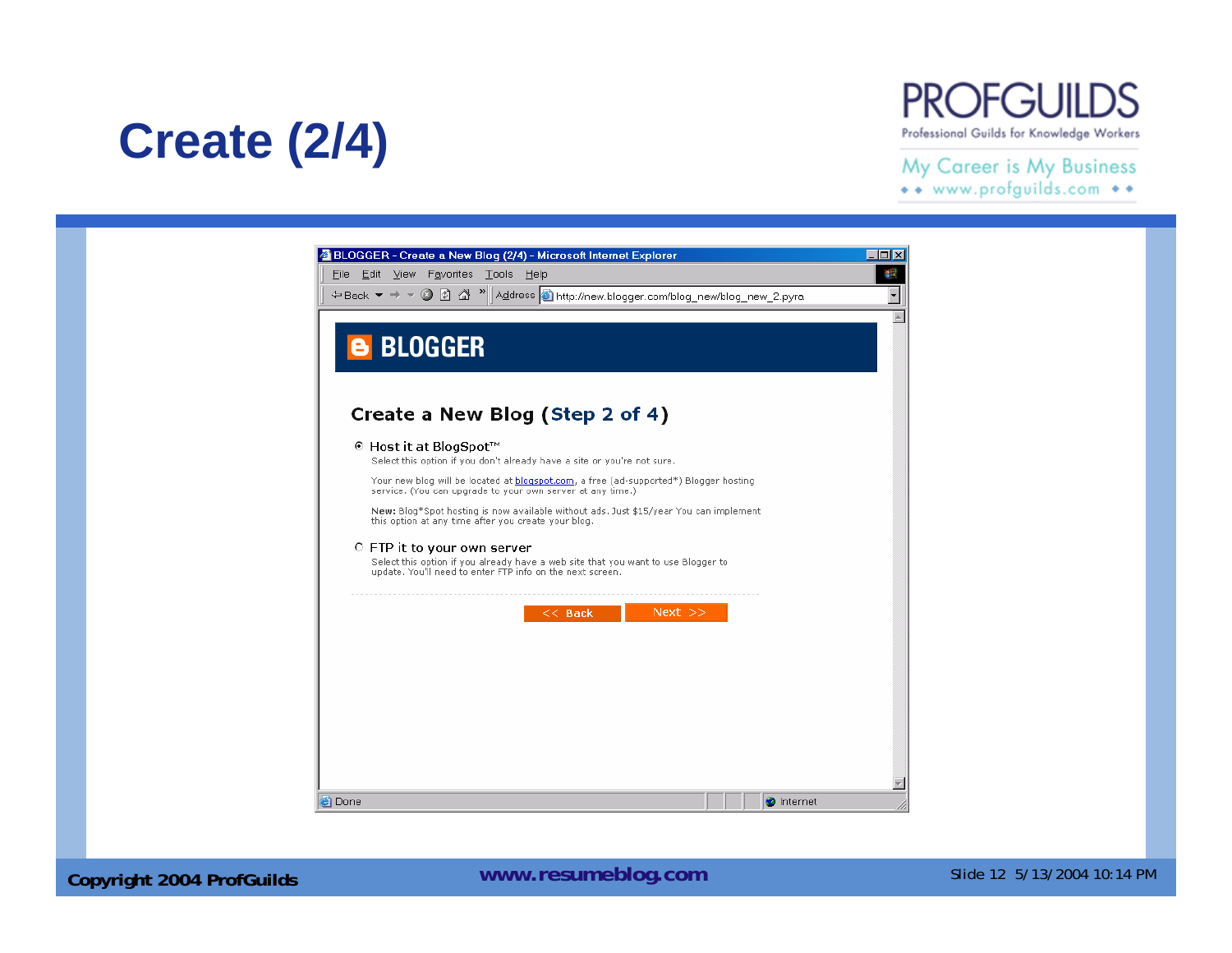## **Create (2/4)**



#### My Career is My Business \*\* www.profguilds.com \*\*

8 BLOGGER - Create a New Blog (2/4) - Microsoft Internet Explorer  $\Box$ D $\boxtimes$ File Edit View Favorites Tools Help 翻  $\overline{\phantom{a}}$  $\blacktriangle$ **B** BLOGGER Create a New Blog (Step 2 of 4) © Host it at BlogSpot™ Select this option if you don't already have a site or you're not sure. Your new blog will be located at **blogspot.com**, a free (ad-supported\*) Blogger hosting service. (You can upgrade to your own server at any time.) New: Blog\*Spot hosting is now available without ads. Just \$15/year You can implement this option at any time after you create your blog. C FTP it to your own server Select this option if you already have a web site that you want to use Blogger to update. You'll need to enter FTP info on the next screen.  $<<$  Back  $Next \gg$ Y **D** Internet **Done**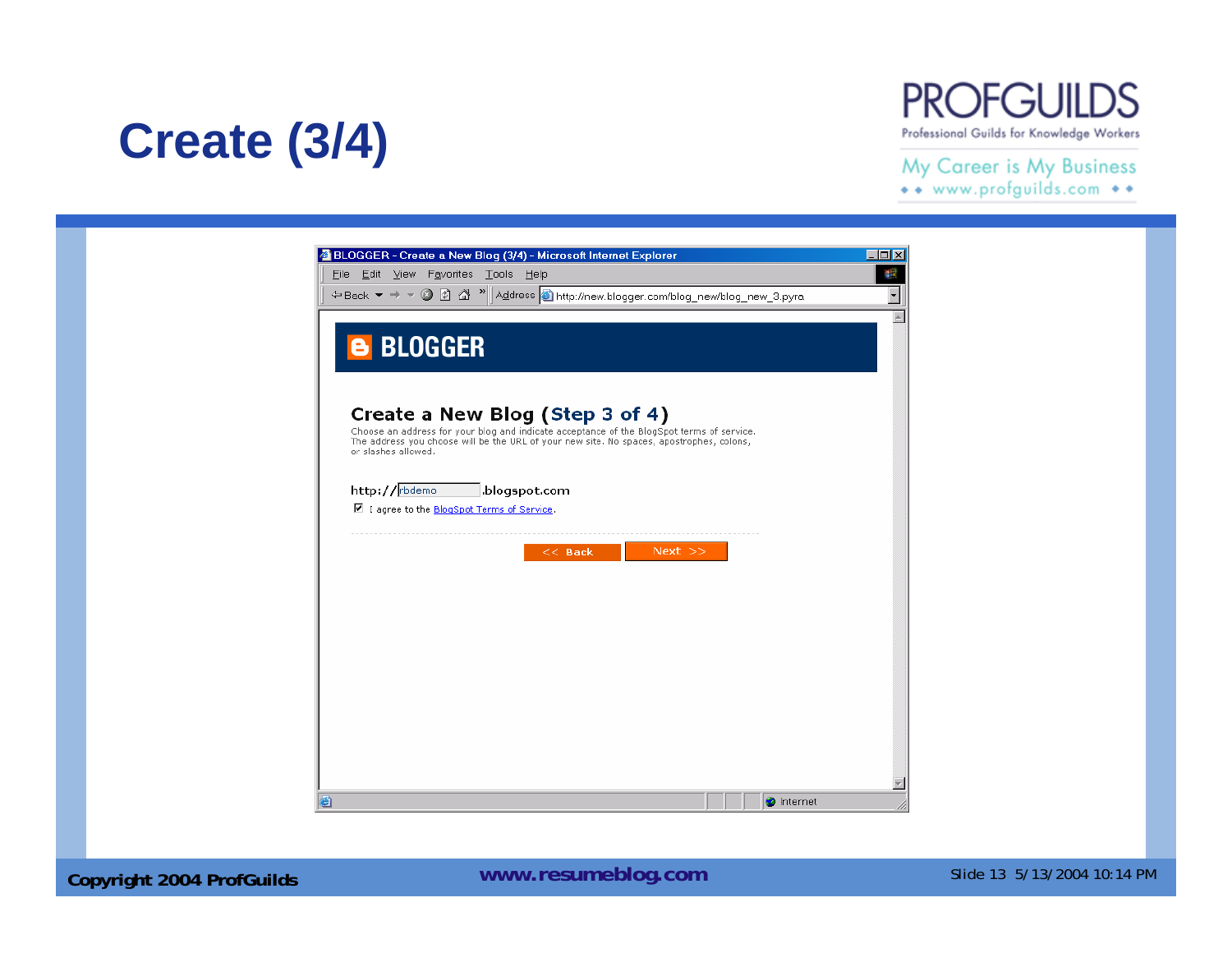## **Create (3/4)**



#### My Career is My Business

\*\* www.profguilds.com \*\*

| BLOGGER - Create a New Blog (3/4) - Microsoft Internet Explorer<br>File Edit View Favorites Tools Help          |  |
|-----------------------------------------------------------------------------------------------------------------|--|
| ← Back ▼ → ▼ 2 2 4 <sup>™</sup> Address + http://new.blogger.com/blog_new/blog_new_3.pyra                       |  |
|                                                                                                                 |  |
| <b>B BLOGGER</b>                                                                                                |  |
|                                                                                                                 |  |
| Create a New Blog (Step 3 of 4)                                                                                 |  |
| Choose an address for your blog and indicate acceptance of the BlogSpot terms of service.                       |  |
| The address you choose will be the URL of your new site. No spaces, apostrophes, colons,<br>or slashes allowed. |  |
|                                                                                                                 |  |
| http://rbdemo<br>.blogspot.com                                                                                  |  |
| ■ I agree to the BlogSpot Terms of Service.                                                                     |  |
| $Next$ $>>$<br>$<<$ Back                                                                                        |  |
|                                                                                                                 |  |
|                                                                                                                 |  |
|                                                                                                                 |  |
|                                                                                                                 |  |
|                                                                                                                 |  |
|                                                                                                                 |  |
|                                                                                                                 |  |
|                                                                                                                 |  |
|                                                                                                                 |  |
|                                                                                                                 |  |
| đ١<br><b>O</b> Internet                                                                                         |  |

**Copyright 2004 ProfGuilds Mateur Controller School Community Copyright 2004 ProfGuilds** Mateur Copyright 2004 Prof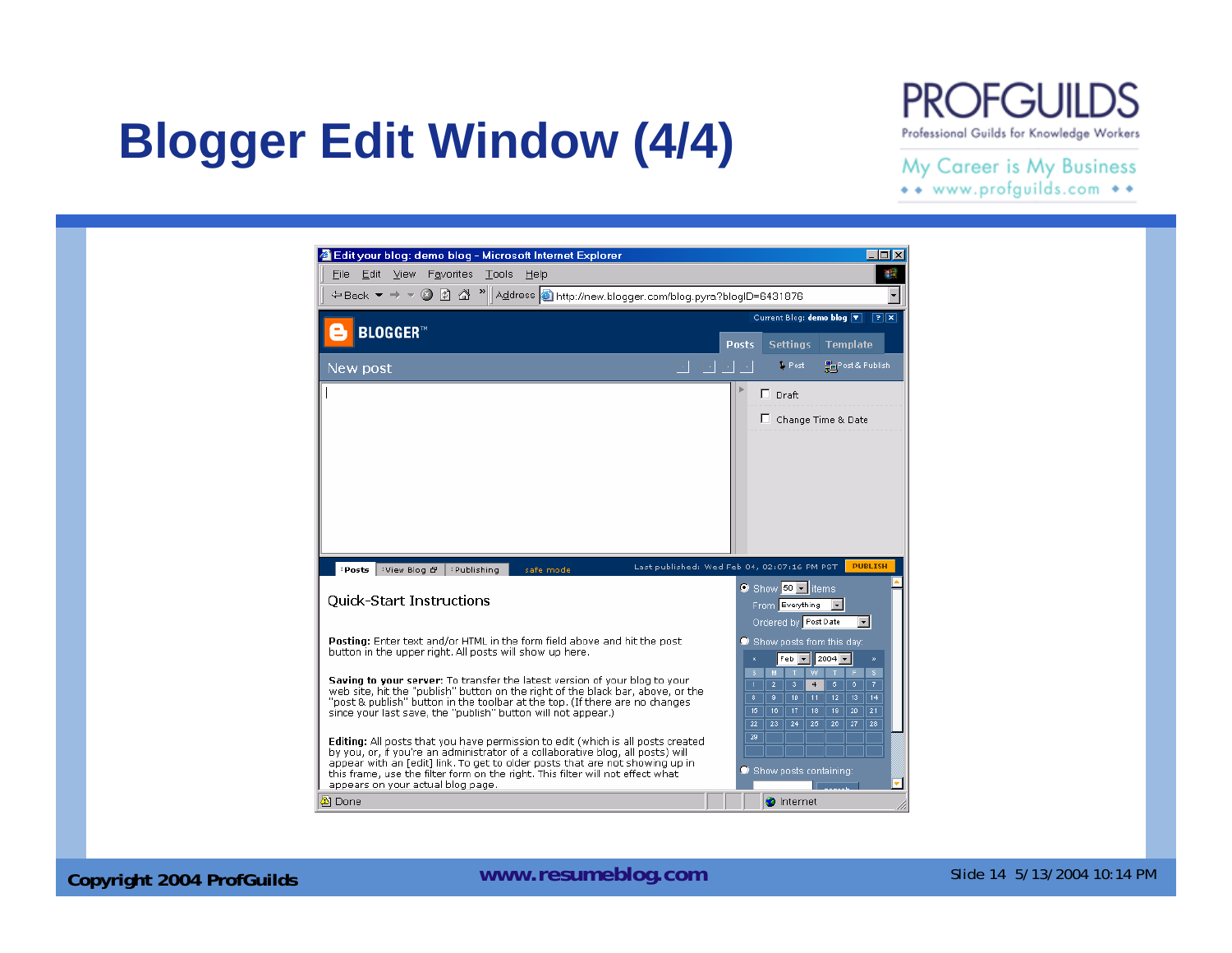## **Blogger Edit Window (4/4)**

#### PROFGUII Professional Guilds for Knowledge Workers

#### My Career is My Business \*\* www.profguilds.com \*\*



**Copyright 2004 ProfGuilds Mateurs 2004 ProfGuilds** Mateurs 2004 10:14 PM Mateurs 2004 10:14 PM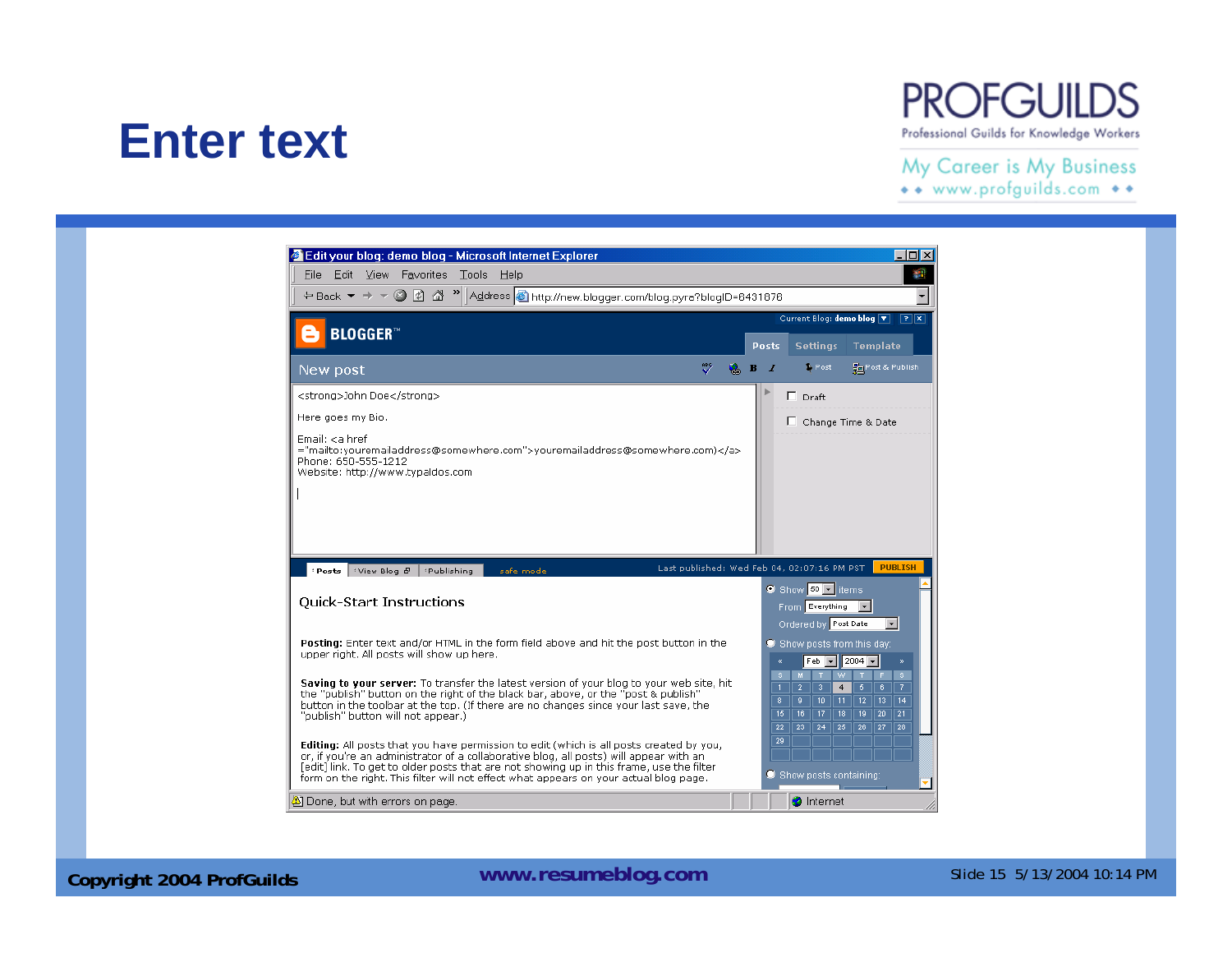### **Enter text**

#### **PROFGUILDS** Professional Guilds for Knowledge Workers

#### My Career is My Business

| File Edit View Favorites Tools<br><b>Help</b>                                                                                                                                                                                                                                                                                                                                                                                                                                                                                                         |                                                                                                                                                                                                                                                                                                                                                                 |  |
|-------------------------------------------------------------------------------------------------------------------------------------------------------------------------------------------------------------------------------------------------------------------------------------------------------------------------------------------------------------------------------------------------------------------------------------------------------------------------------------------------------------------------------------------------------|-----------------------------------------------------------------------------------------------------------------------------------------------------------------------------------------------------------------------------------------------------------------------------------------------------------------------------------------------------------------|--|
| ← Back ▼ ⇒ ▼ 2 2 2 4 > Address + http://new.blogger.com/blog.pyra?blogID=6431876                                                                                                                                                                                                                                                                                                                                                                                                                                                                      |                                                                                                                                                                                                                                                                                                                                                                 |  |
| <b>BLOGGER</b> <sup>™</sup>                                                                                                                                                                                                                                                                                                                                                                                                                                                                                                                           |                                                                                                                                                                                                                                                                                                                                                                 |  |
| New post                                                                                                                                                                                                                                                                                                                                                                                                                                                                                                                                              | <b>Settings</b><br><b>Template</b><br>Posts<br><b>B</b> Post<br><b>Pre</b> Post & Publish<br>в<br>- 1                                                                                                                                                                                                                                                           |  |
| <strong>John Doe</strong><br>Here apes my Bio.<br>Email: <a href.<br="">="mailto:youremailaddress@somewhere.com"&gt;youremailaddress@somewhere.com)</a><br>Phone: 650-555-1212<br>Website: http://www.typaldos.com                                                                                                                                                                                                                                                                                                                                    | $\Box$ Draft<br>Change Time & Date                                                                                                                                                                                                                                                                                                                              |  |
|                                                                                                                                                                                                                                                                                                                                                                                                                                                                                                                                                       |                                                                                                                                                                                                                                                                                                                                                                 |  |
| →View Blog <i>B</i> → Publishing<br>safe mode<br>: Posts<br><b>Quick-Start Instructions</b>                                                                                                                                                                                                                                                                                                                                                                                                                                                           | <b>PUBLISH</b><br>Last published: Wed Feb 04, 02:07:16 PM PST<br>9 Show 60 <del>V</del> items<br>From Everything<br>$\mathbf{r}$                                                                                                                                                                                                                                |  |
|                                                                                                                                                                                                                                                                                                                                                                                                                                                                                                                                                       | Ordered by Post Date<br>Show posts from this day:<br>$ 2004 -$<br>$Feb$ $\rightarrow$<br>ø.                                                                                                                                                                                                                                                                     |  |
| Posting: Enter text and/or HTML in the form field above and hit the post button in the<br>upper right. All posts will show up here.<br>Saving to your server: To transfer the latest version of your blog to your web site, hit<br>the "publish" button on the right of the black bar, above, or the "post & publish"<br>button in the toolbar at the top. (If there are no changes since your last save, the<br>"publish" button will not appear.)<br><b>Editing:</b> All posts that you have permission to edit (which is all posts created by you, | W<br>$\mathbb{S}$<br>S.<br>M.<br>F.<br>T<br>$\overline{2}$<br>-31<br>$\overline{5}$<br>$\overline{7}$<br>4<br>6<br>$\mathbf{1}$<br>$\overline{12}$<br>$\overline{13}$<br>8<br>$9-$<br>10 <sup>1</sup><br>11<br>14<br>15<br>16<br>17<br>18<br>19<br>$\overline{20}$<br>21<br>23<br>$\overline{26}$<br>$\overline{27}$<br>22<br>24<br>25 <sub>1</sub><br>28<br>29 |  |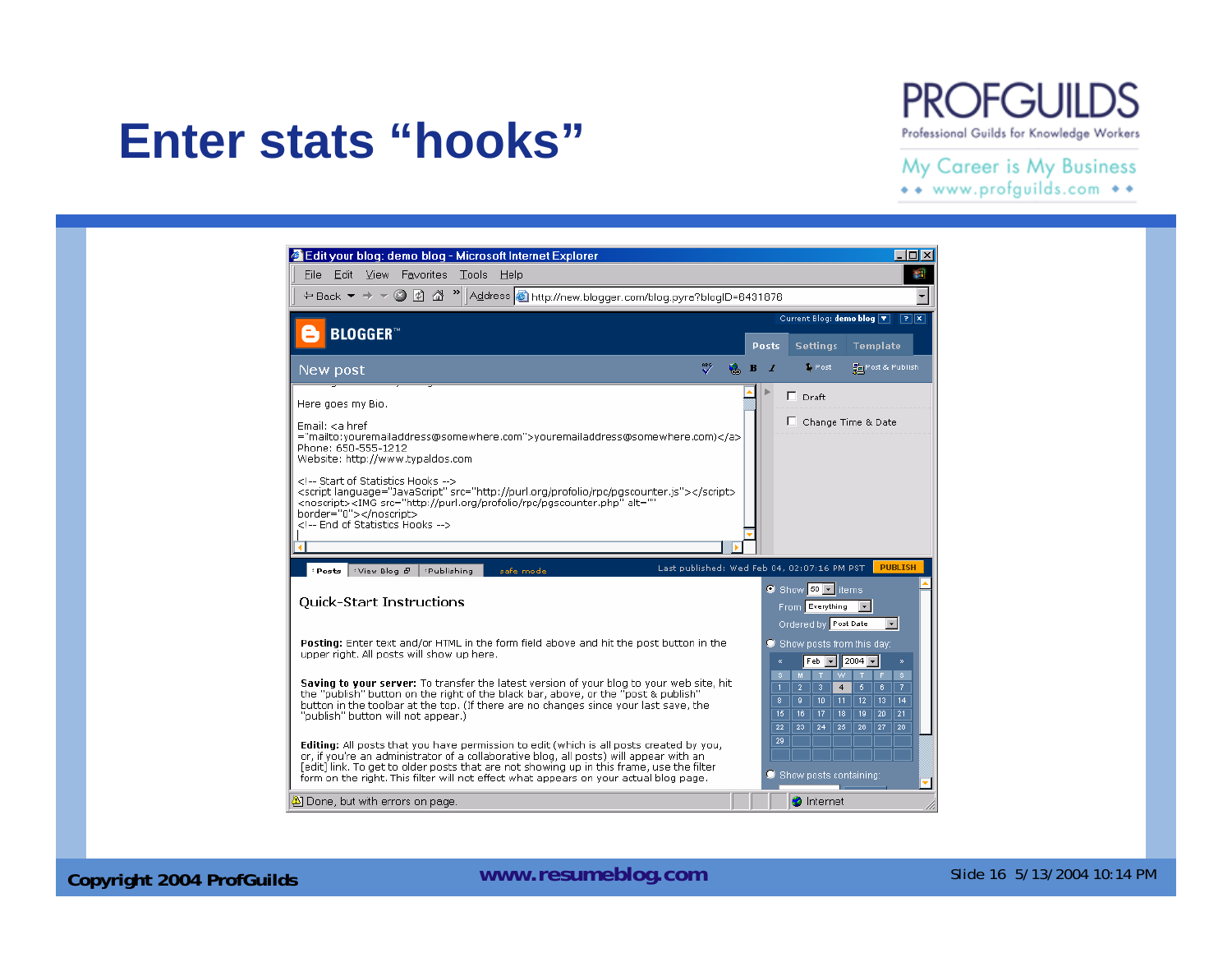## **PROFGUIL**

#### Professional Guilds for Knowledge Workers

#### My Career is My Business

\*\* www.profguilds.com \*\*

#### Edit your blog: demo blog - Microsoft Internet Explorer  $\Box$ D $X$ File Edit View Favorites Tools Help 棚 Current Blog: demo blog  $\boxed{\mathbf{v}}$  $\boxed{?}$ **BLOGGER** Posts Settings Template  $\mathbb V$  $\bullet$  B  $I$ **Fig Post & Publish** Post New post  $\triangleright$  $\Box$  Draft Here goes my Bio. Change Time & Date Email: <a href ="mailto:youremailaddress@somewhere.com">youremailaddress@somewhere.com)</a> Phone: 650-555-1212 Website: http://www.typaldos.com <!-- Start of Statistics Hooks --> <script language="JavaScript" src="http://purl.org/profolio/rpc/pgscounter.js"></script> <noscript><IMG src="http://purl.org/profolio/rpc/pgscounter.php" alt=" border="0"></noscript> <I-- End of Statistics Hooks --> Last published: Wed Feb 04, 02:07:16 PM PST **PHRLTSH** Posts Wiew Blog & Publishing safe mode  $\bullet$  Show  $\overline{50}$   $\overline{5}$  items **Quick-Start Instructions** From Everything T Ordered by Post Date ⊡ Posting: Enter text and/or HTML in the form field above and hit the post button in the Show posts from this day: upper right. All posts will show up here.  $Feb$   $\overline{v}$  2004  $\overline{v}$  $S$   $M$   $T$   $W$ ITES Saving to vour server: To transfer the latest version of your blog to your web site, hit  $\overline{4}$ the "publish" button on the right of the black bar, above, or the "post & publish"  $9$  1 10 1 11 1 12 13 14 button in the toolbar at the top. (If there are no changes since your last save, the "publish" button will not appear.)  $22$  | 23 | 24 | 25 | 26 | 27 | 28  $\overline{29}$ Editing: All posts that you have permission to edit (which is all posts created by you, or, if you're an administrator of a collaborative blog, all posts) will appear with an [edit] link. To get to older posts that are not showing up in this frame, use the filter  $\bullet$  Show posts containing: form on the right. This filter will not effect what appears on your actual blog page. Done, but with errors on page. **O** Internet

**Enter stats "hooks"**

**Copyright 2004 ProfGuilds WWW.resumeblog.com** Slide 16 5/13/2004 10:14 PM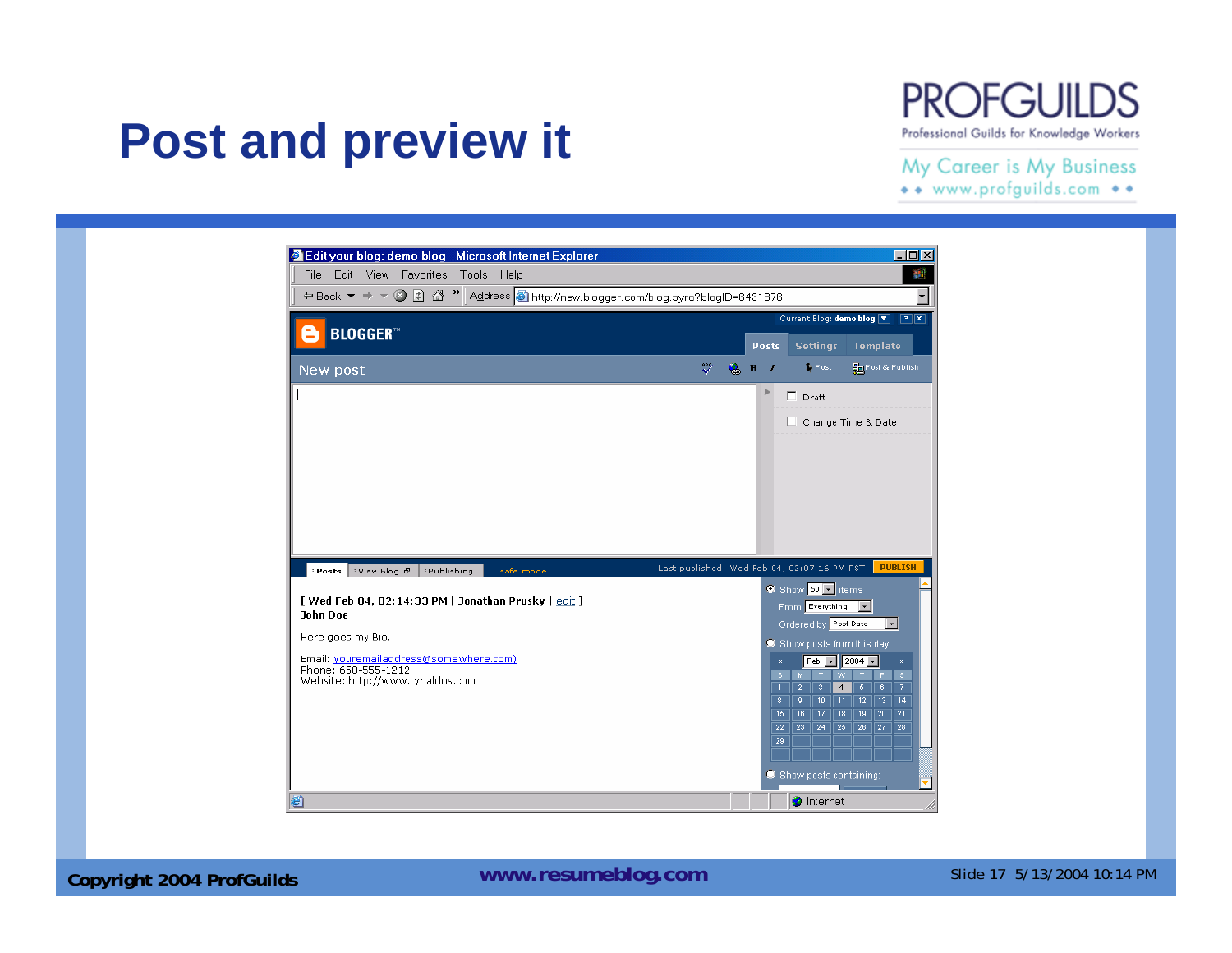#### **PROFGUILDS** Professional Guilds for Knowledge Workers

### **Post and preview it**

My Career is My Business

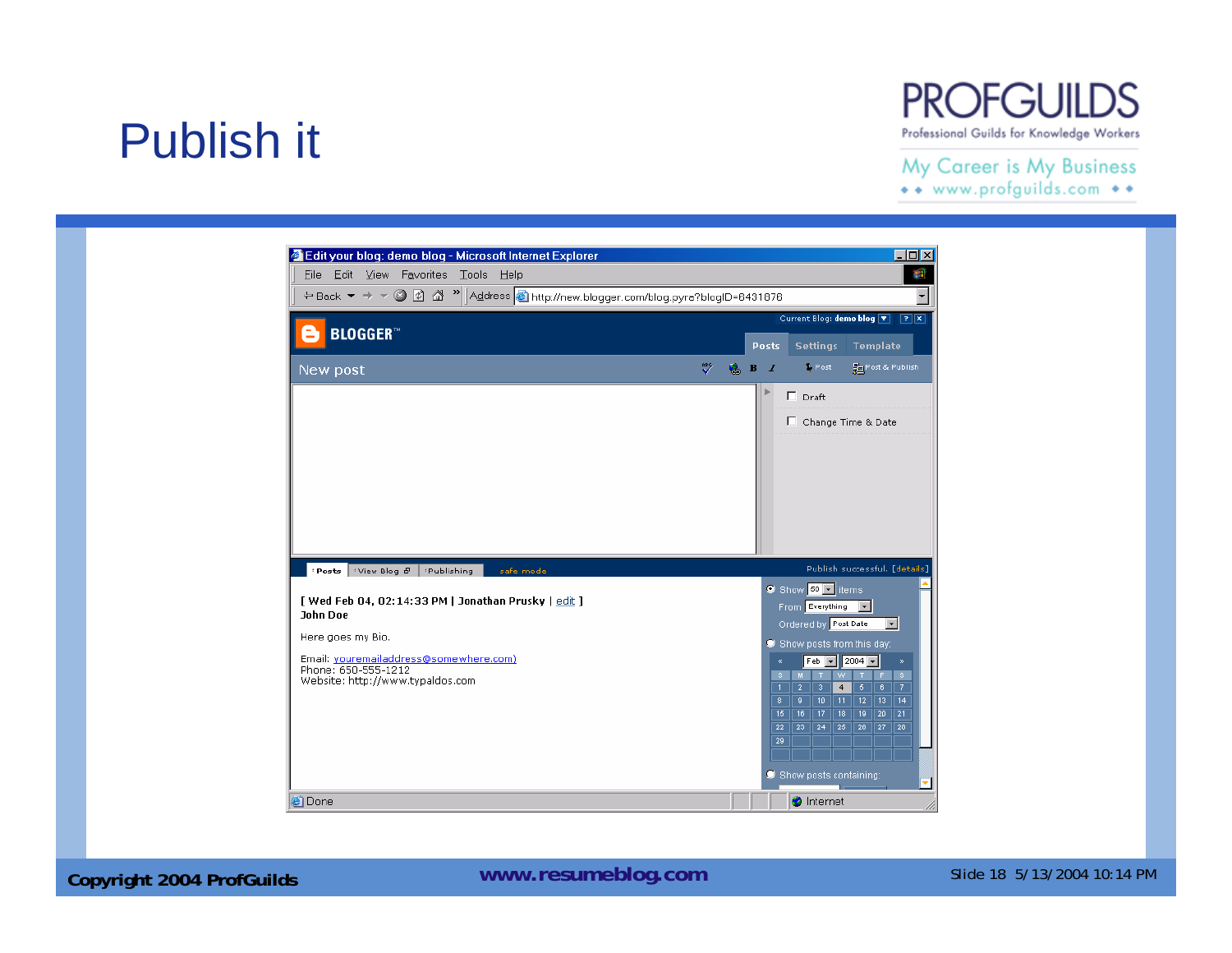## Publish it

#### **PROFGUILDS** Professional Guilds for Knowledge Workers

#### My Career is My Business

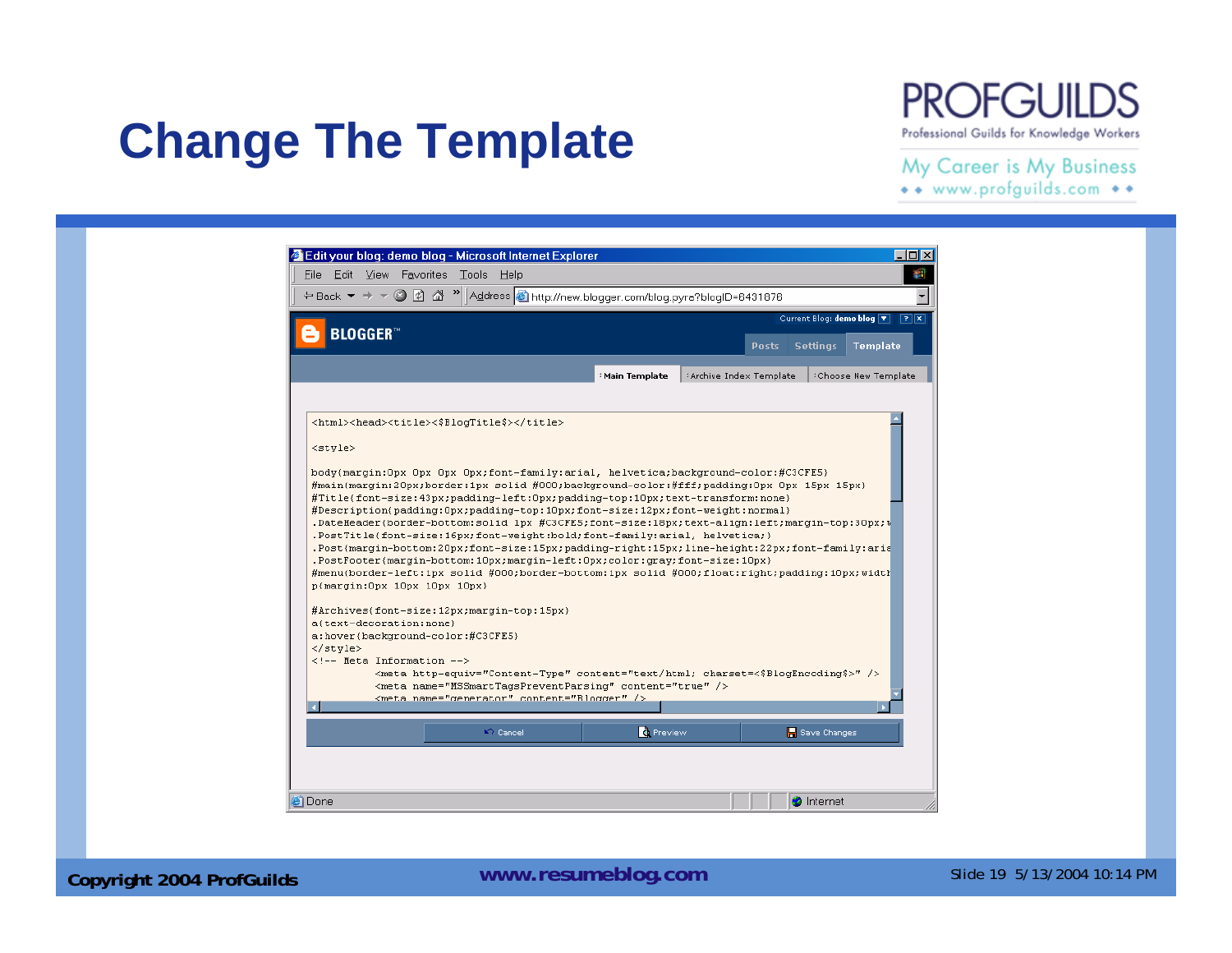#### **PROFGUILDS** Professional Guilds for Knowledge Workers

## **Change The Template**

My Career is My Business

| <b>BLOGGER</b> <sup>™</sup> |  |               |                         |              |                 | Current Blog: demo blog T PX |
|-----------------------------|--|---------------|-------------------------|--------------|-----------------|------------------------------|
|                             |  |               |                         | <b>Posts</b> | <b>Settings</b> | Template                     |
|                             |  | Main Template | #Archive Index Template |              |                 | Choose New Template          |
| <style></style>             |  |               |                         |              |                 |                              |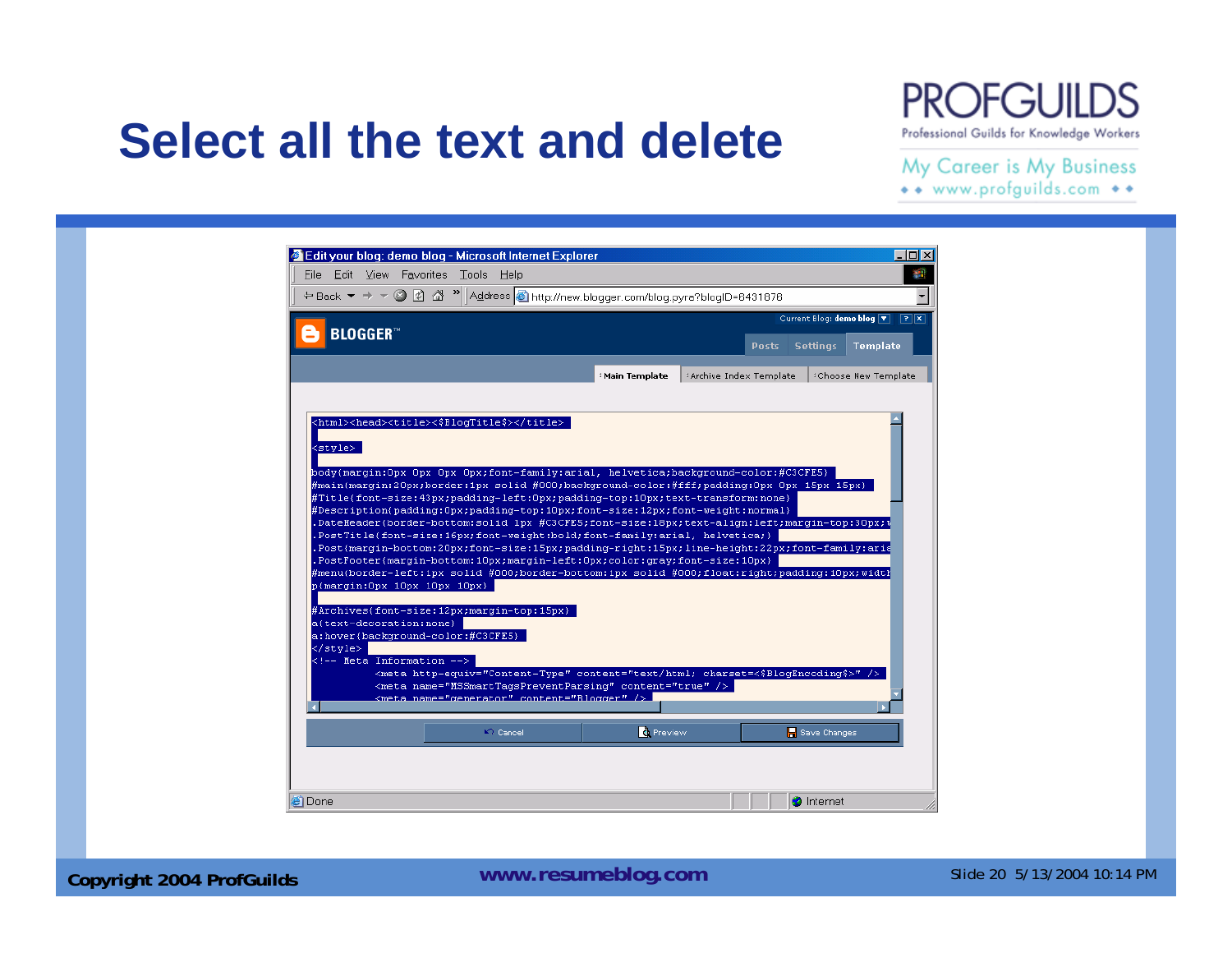### **Select all the text and delete**

#### **PROFGUILDS** Professional Guilds for Knowledge Workers

#### My Career is My Business

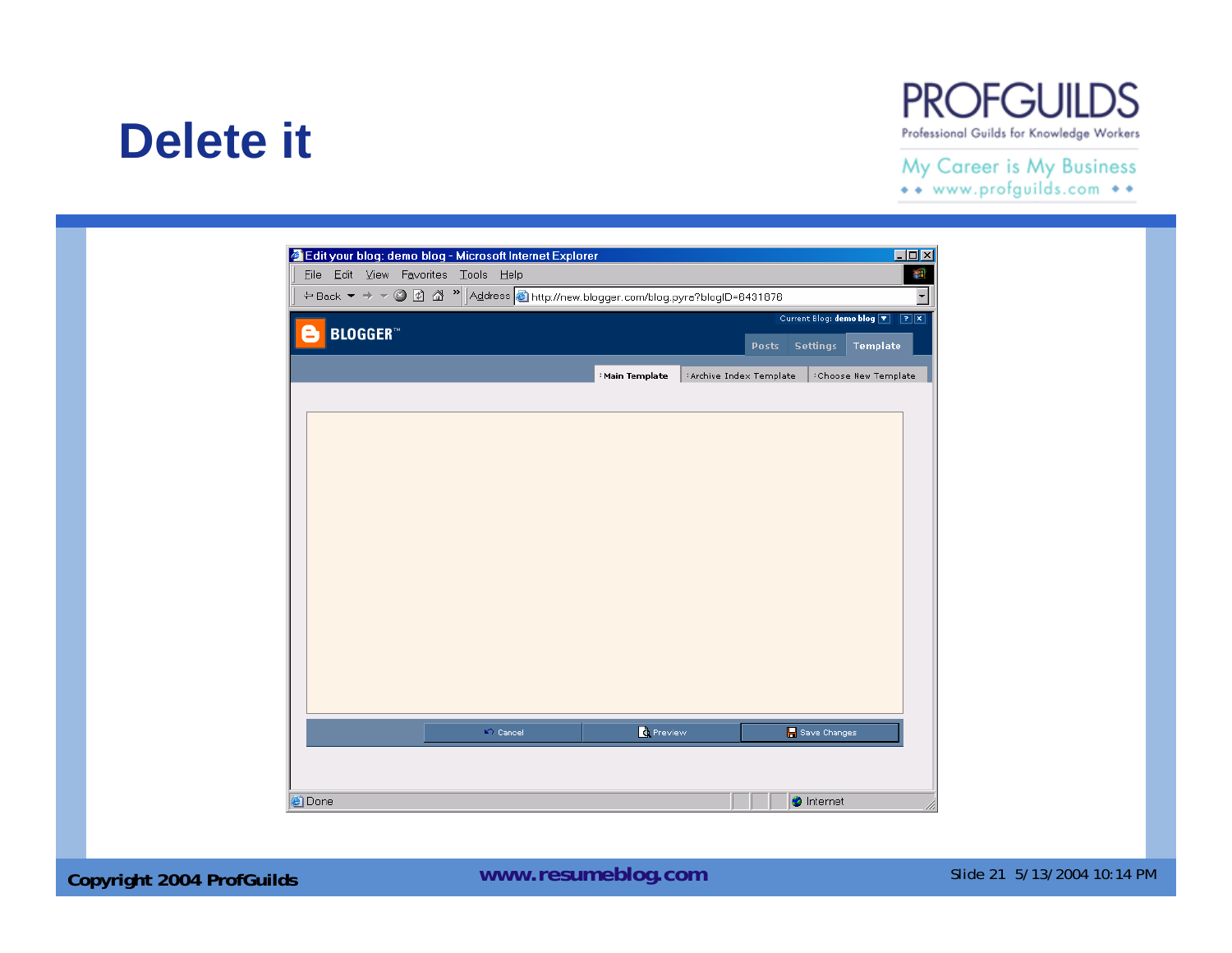### **Delete it**

#### **PROFGUILDS** Professional Guilds for Knowledge Workers

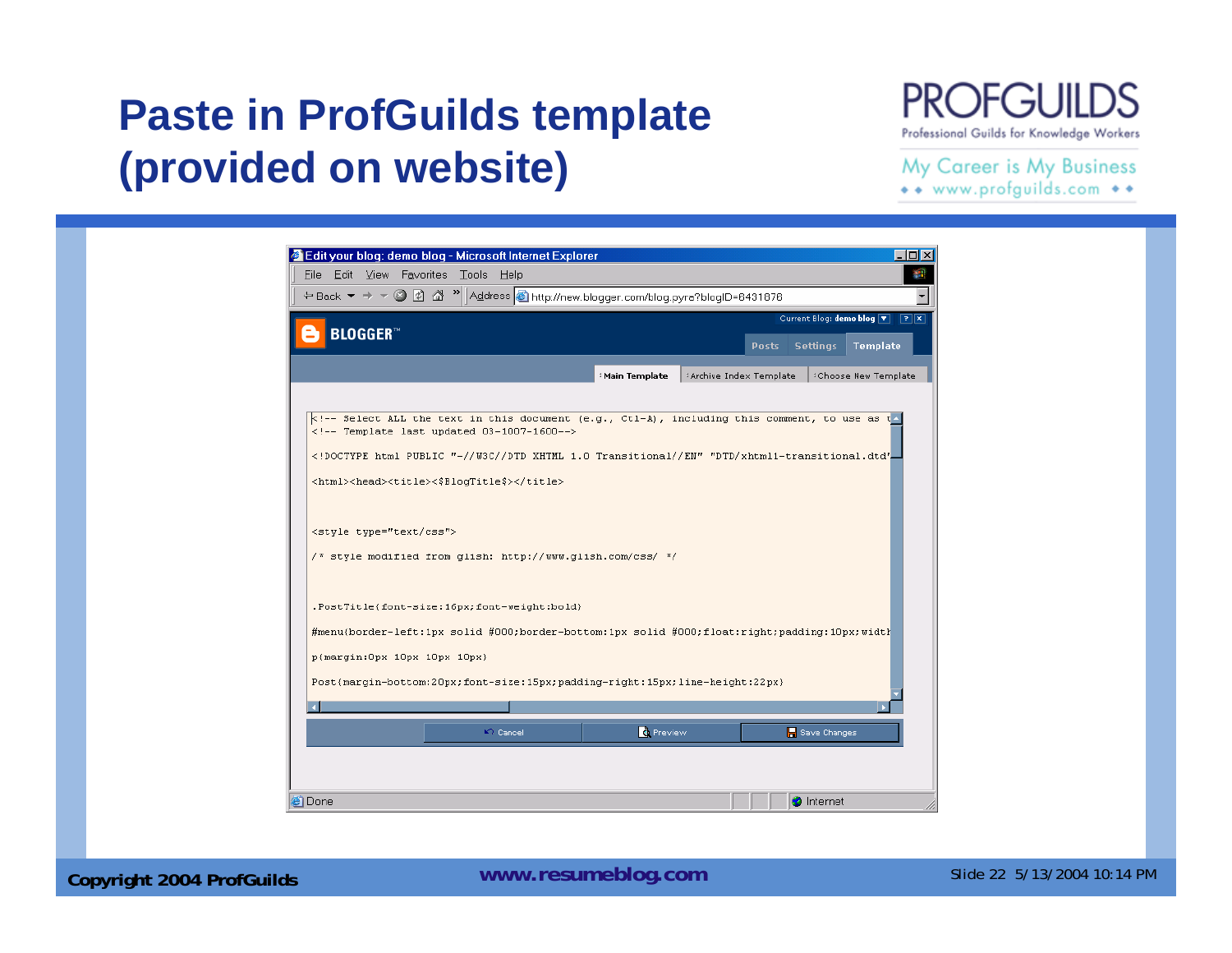### **Paste in ProfGuilds template (provided on website)**

#### **PROFGUIL** D.S Professional Guilds for Knowledge Workers

#### My Career is My Business

|                                                                                                                                                     |  |               |                         | Current Blog: demo blog $\boxed{\overline{x}}$ $\boxed{?} \boxed{\overline{x}}$ |
|-----------------------------------------------------------------------------------------------------------------------------------------------------|--|---------------|-------------------------|---------------------------------------------------------------------------------|
| <b>BLOGGER</b> <sup>*</sup>                                                                                                                         |  |               | <b>Posts</b>            | <b>Settings</b><br><b>Template</b>                                              |
|                                                                                                                                                     |  | Main Template | #Archive Index Template | <sup>:</sup> Choose New Template                                                |
|                                                                                                                                                     |  |               |                         |                                                                                 |
| k!-- Select ALL the text in this document (e.g., Ct1-A), including this comment, to use as t<br>$\langle$ !-- Template last updated 03-1007-1600--> |  |               |                         |                                                                                 |
| html PUBLIC "-//W3C//DTD XHTML 1.0 Transitional//EN" "DTD/xhtml1-transitional.dtd".</td <td></td> <td></td> <td></td> <td></td>                     |  |               |                         |                                                                                 |
| <html><head><title>&lt;\$BlogTitle\$&gt;</title></head></html>                                                                                      |  |               |                         |                                                                                 |
|                                                                                                                                                     |  |               |                         |                                                                                 |
| <style type="text/css"></style>                                                                                                                     |  |               |                         |                                                                                 |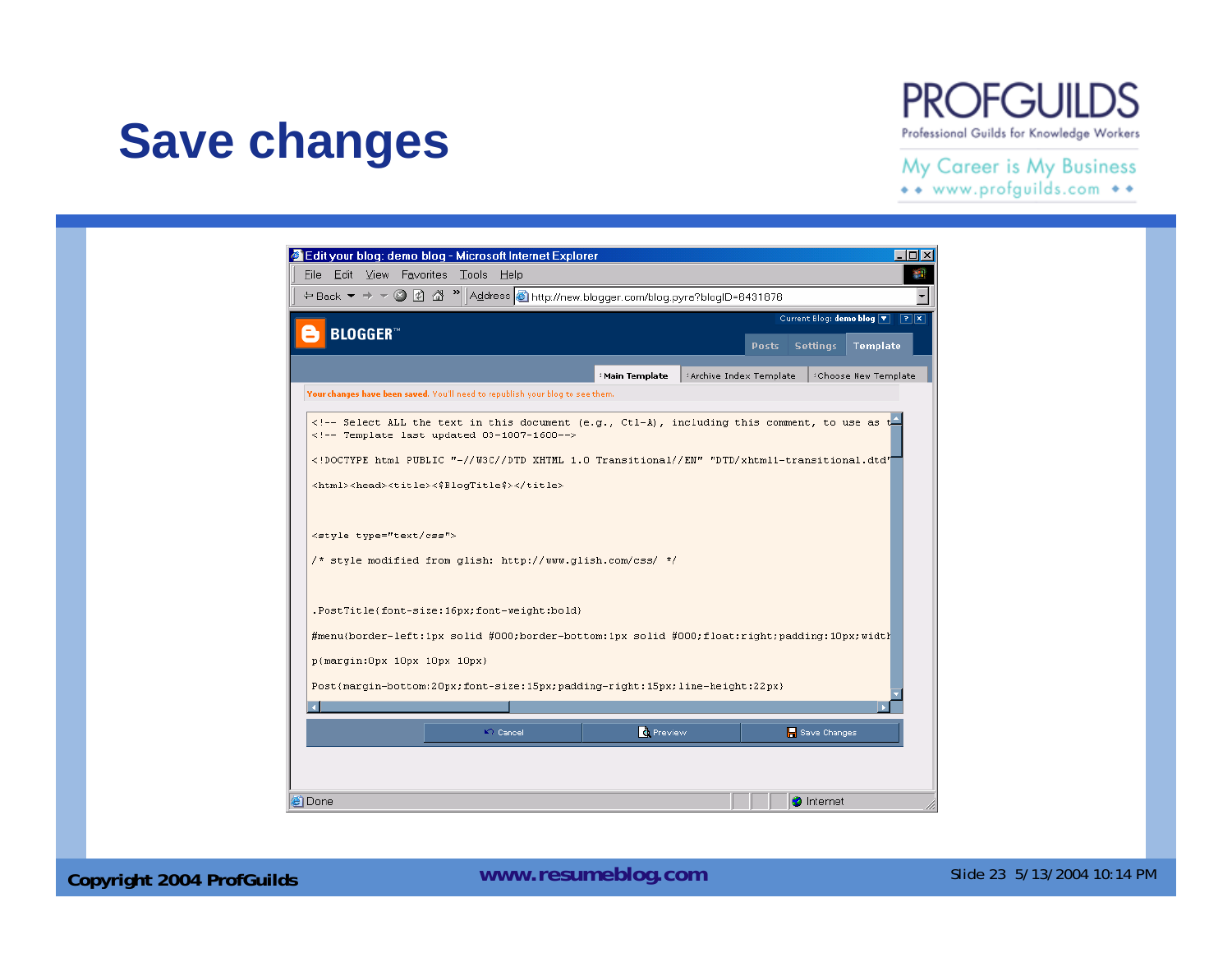### **Save changes**

**PROFGUILDS** Professional Guilds for Knowledge Workers

#### My Career is My Business

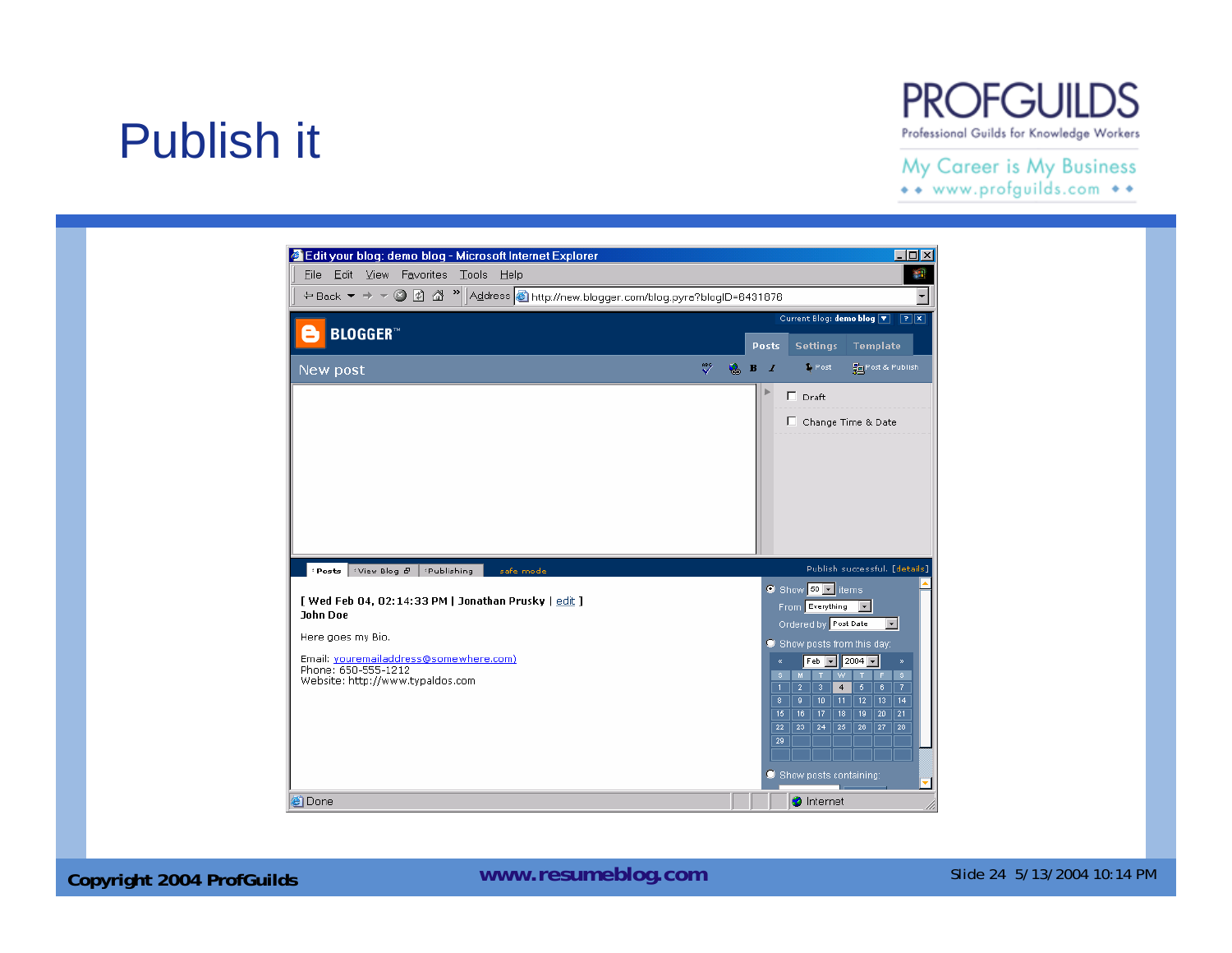## Publish it

#### **PROFGUILDS** Professional Guilds for Knowledge Workers

#### My Career is My Business

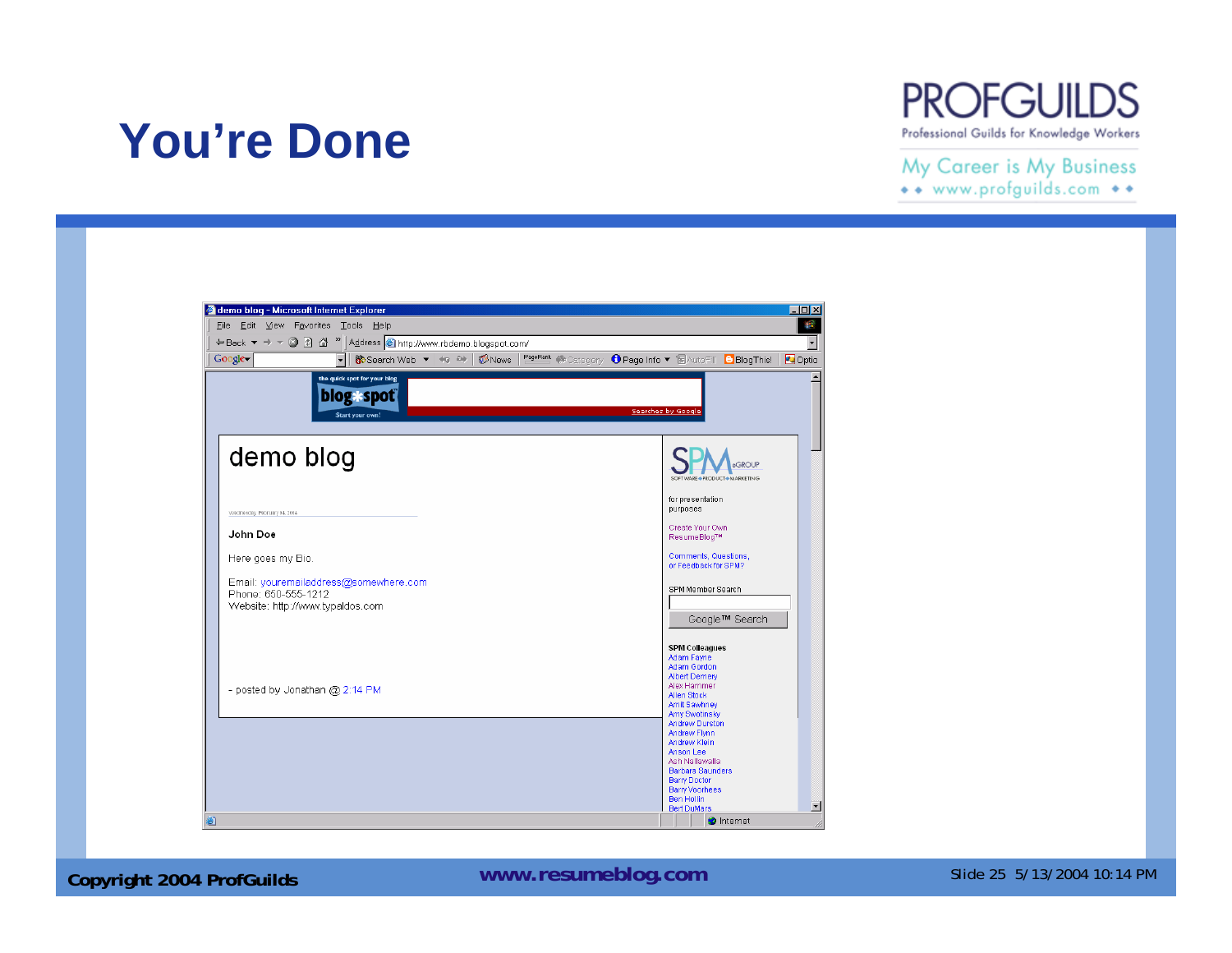### **You're Done**



My Career is My Business \*\* www.profguilds.com \*\*



**Copyright 2004 ProfGuilds WWW.resumeblog.com** Slide 25 5/13/2004 10:14 PM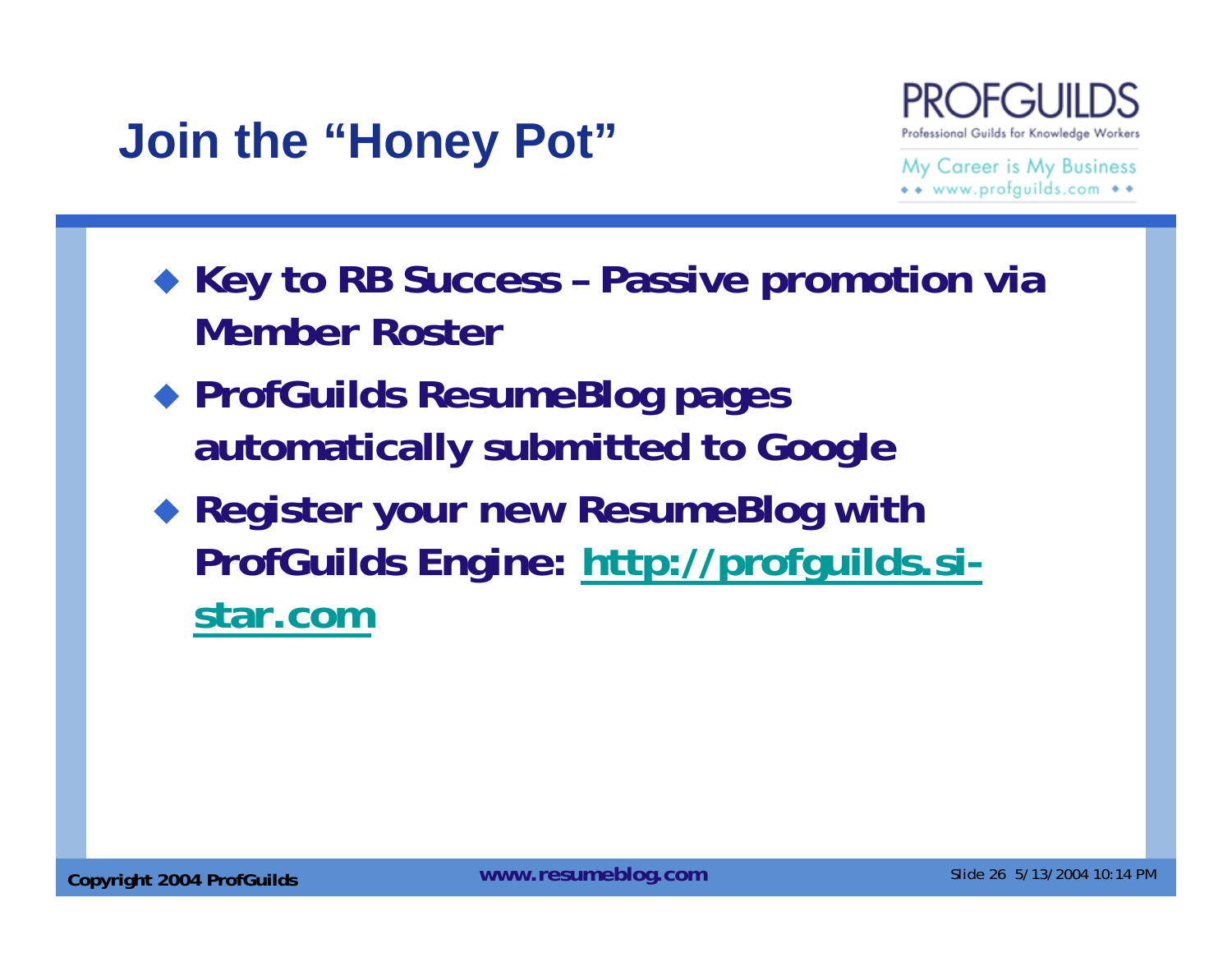## **Join the "Honey Pot"**



- **Key to RB Success – Passive promotion via Member Roster**
- **ProfGuilds ResumeBlog pages automatically submitted to Google**
- **Register your new ResumeBlog with ProfGuilds Engine: http://profguilds.sistar.com**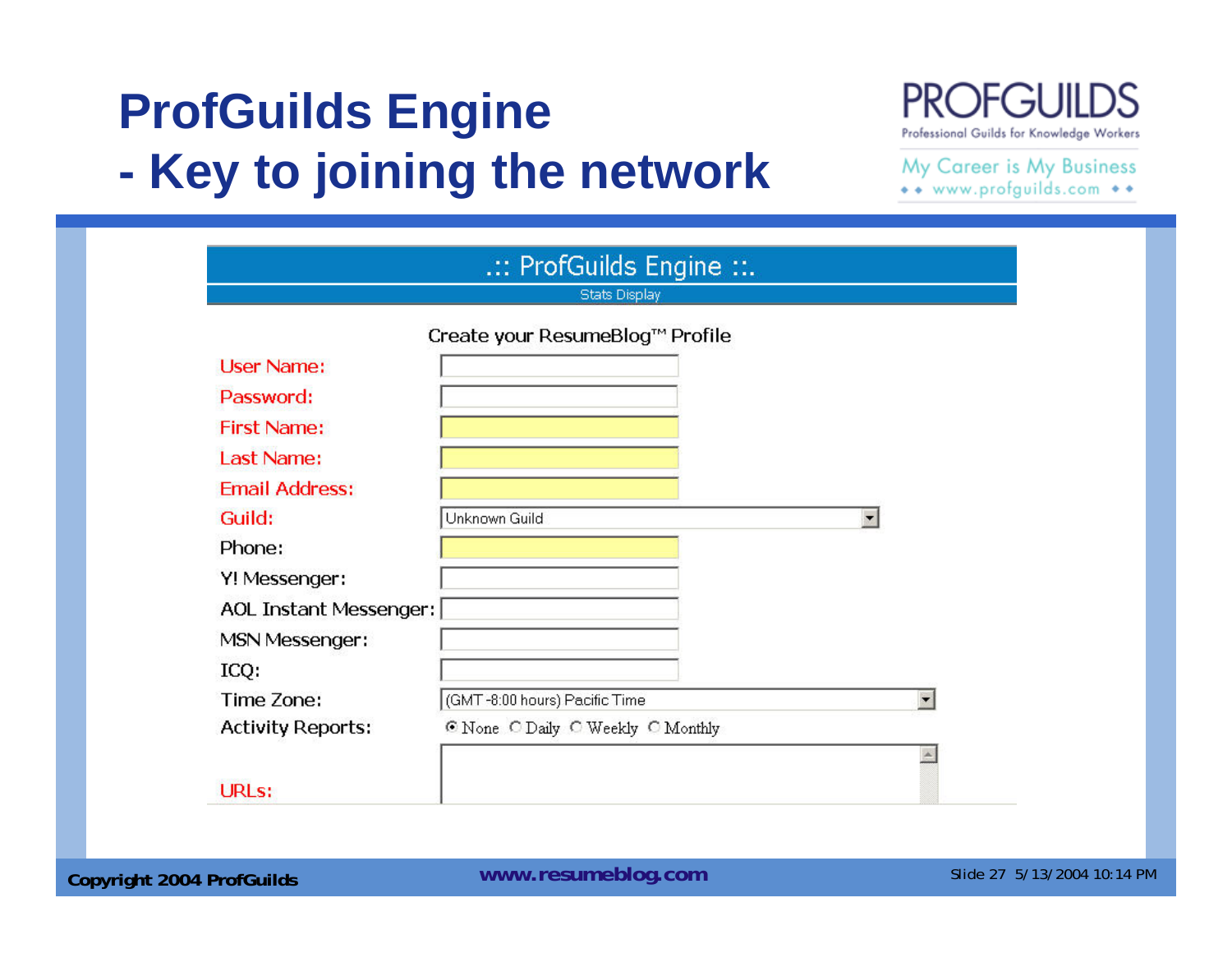#### **ProfGuilds Engine - Key to joining the network**

#### **PROFGUIL** D.S Professional Guilds for Knowledge Workers

| <b>Stats Display</b>     |                                   |                          |  |
|--------------------------|-----------------------------------|--------------------------|--|
|                          | Create your ResumeBlog™ Profile   |                          |  |
| <b>User Name:</b>        |                                   |                          |  |
| Password:                |                                   |                          |  |
| <b>First Name:</b>       |                                   |                          |  |
| Last Name:               |                                   |                          |  |
| <b>Email Address:</b>    |                                   |                          |  |
| Guild:                   | Unknown Guild                     | $\blacksquare$           |  |
| Phone:                   |                                   |                          |  |
| Y! Messenger:            |                                   |                          |  |
| AOL Instant Messenger:   |                                   |                          |  |
| <b>MSN Messenger:</b>    |                                   |                          |  |
| ICQ:                     |                                   |                          |  |
| Time Zone:               | (GMT-8:00 hours) Pacific Time     | $\overline{\phantom{a}}$ |  |
| <b>Activity Reports:</b> | O None C Daily C Weekly C Monthly |                          |  |
|                          |                                   |                          |  |
| <b>URLs:</b>             |                                   |                          |  |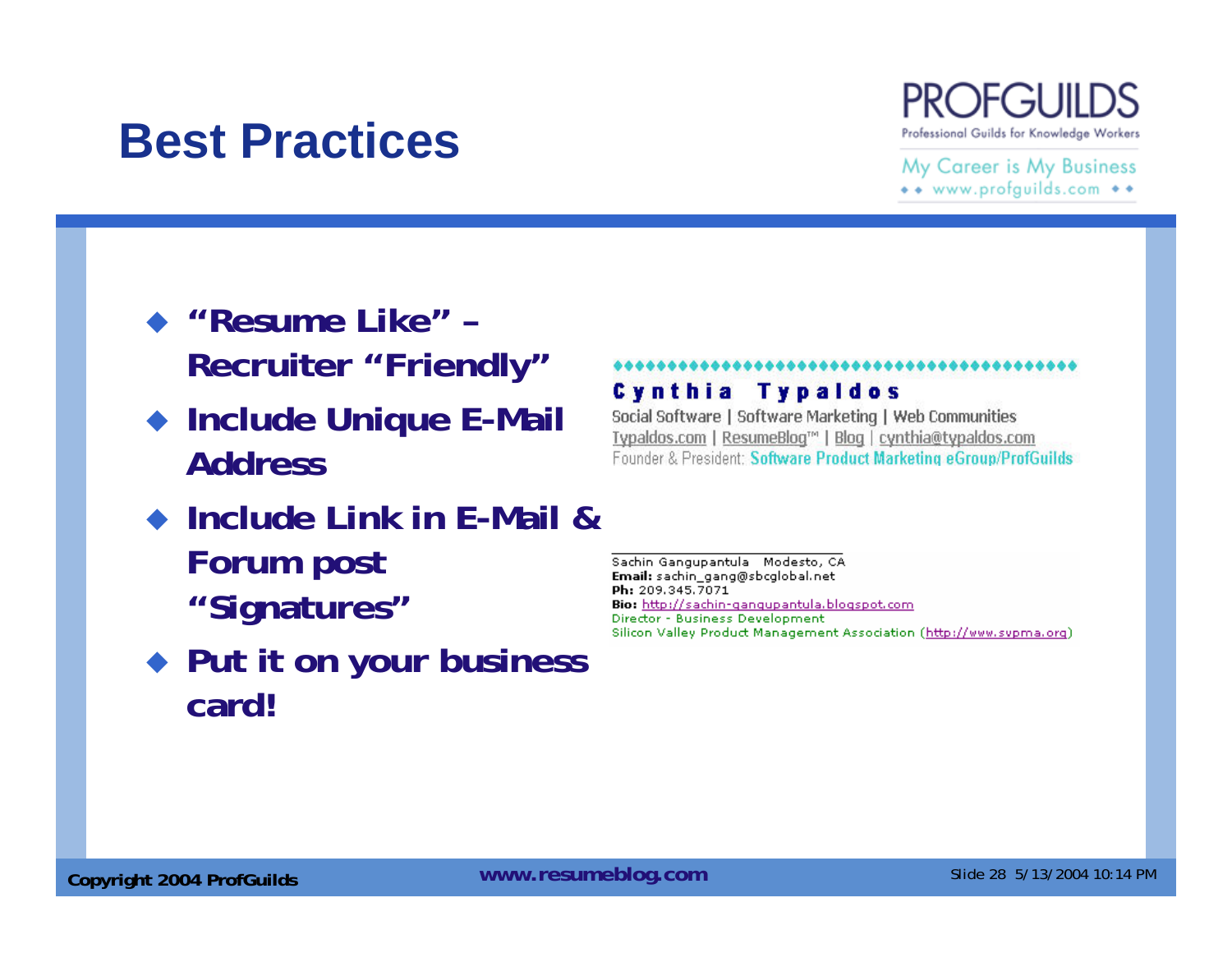### **Best Practices**



My Career is My Business \*\* www.profguilds.com \*\*

- **"Resume Like" – Recruiter "Friendly"**
- ◆ Include Unique E-Mail **Address**
- ◆ Include Link in E-Mail & **Forum post "Signatures"**
- **Put it on your business card!**

#### **Cynthia Typaldos**

Social Software | Software Marketing | Web Communities Typaldos.com | ResumeBlog™ | Blog | cynthia@typaldos.com Founder & President: Software Product Marketing eGroup/ProfGuilds

Sachin Gangupantula Modesto, CA Email: sachin\_gang@sbcglobal.net Ph: 209.345.7071 Bio: http://sachin-gangupantula.blogspot.com Director - Business Development Silicon Valley Product Management Association (http://www.svpma.org)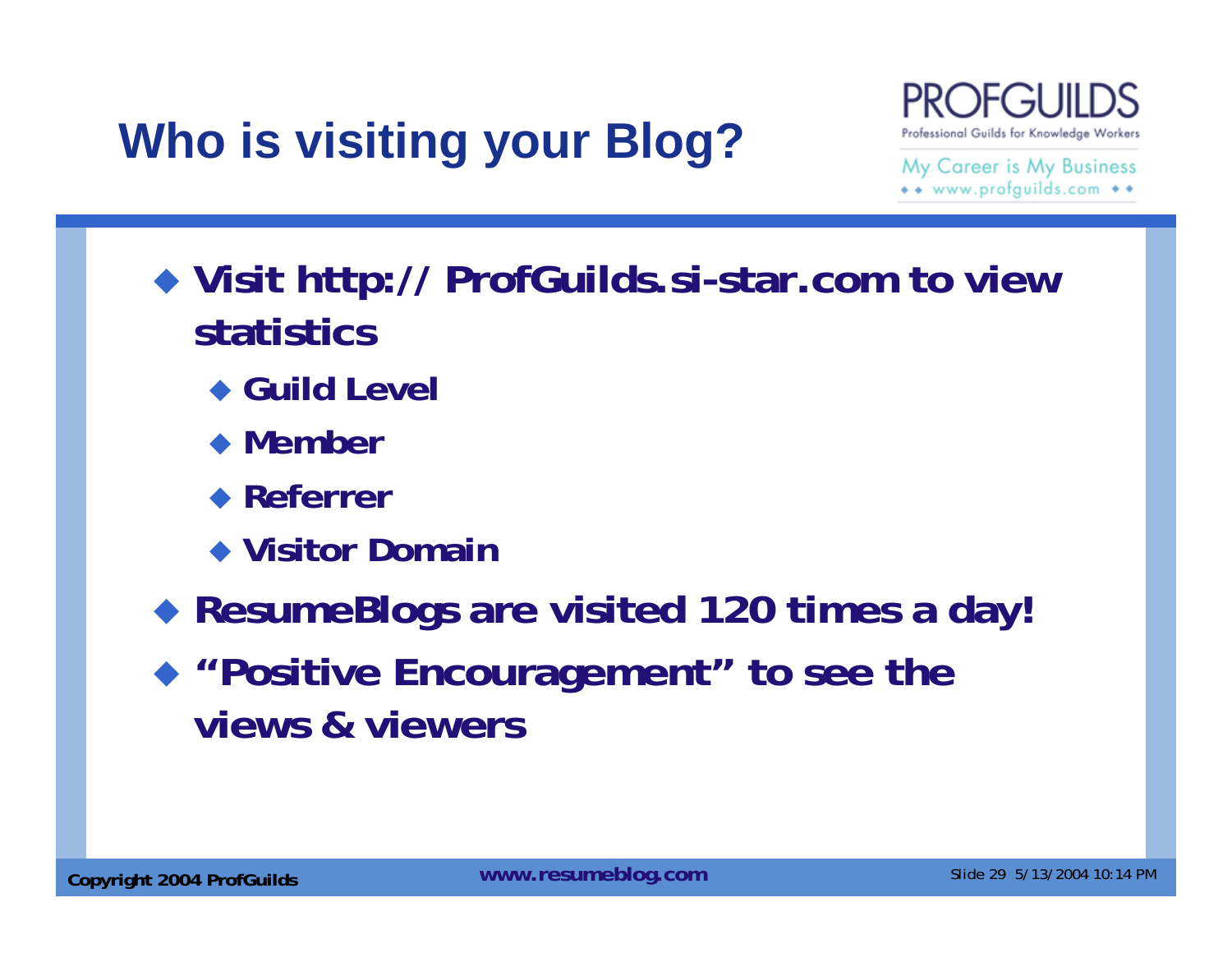# **Who is visiting your Blog?**



- **Visit http:// ProfGuilds.si-star.com to view statistics**
	- ◆ Guild Level
	- **Member**
	- **Referrer**
	- **Visitor Domain**
- $\blacklozenge$ **ResumeBlogs are visited 120 times a day!**
- **"Positive Encouragement" to see the views & viewers**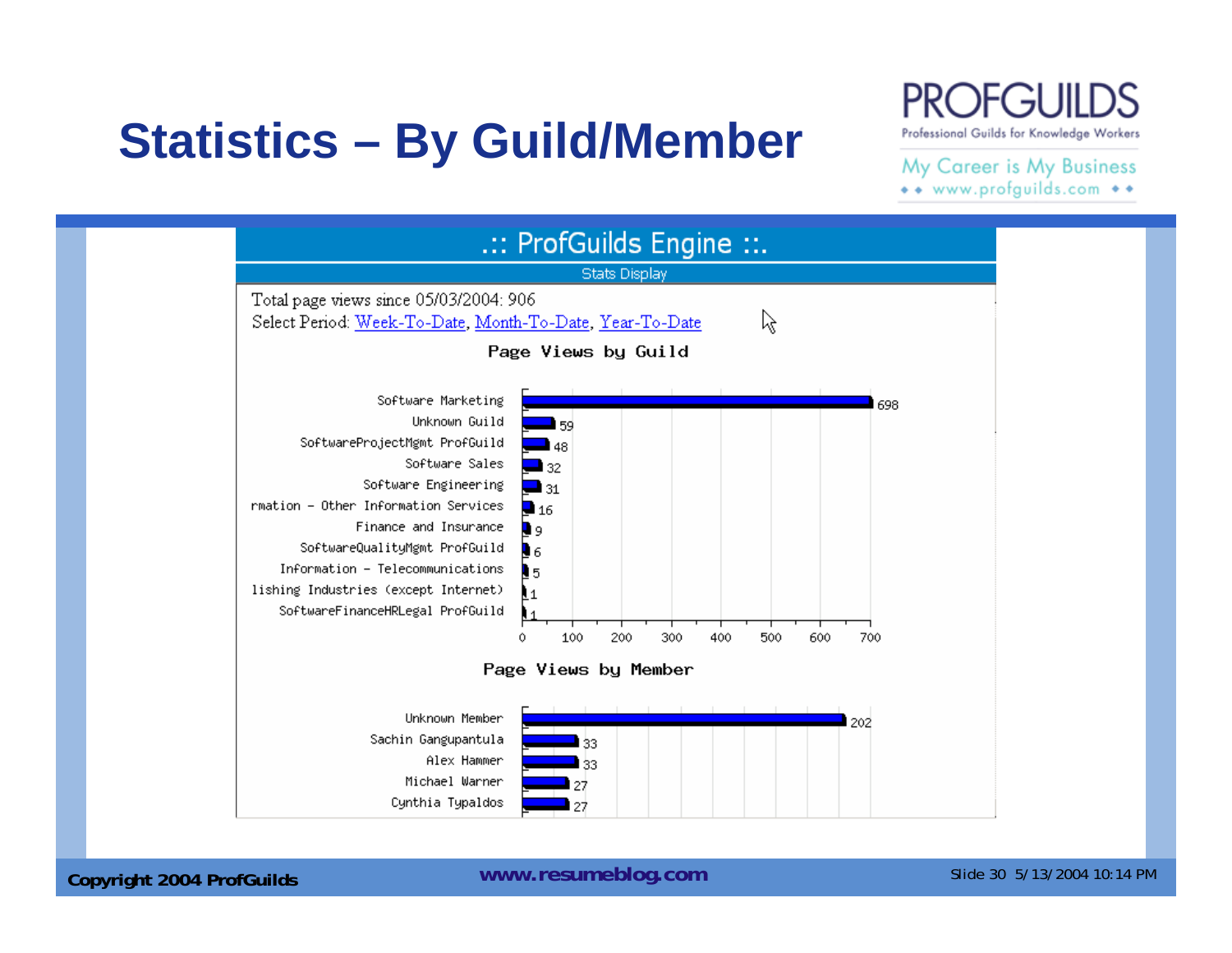## **Statistics – By Guild/Member**

#### **PROFGUII** Professional Guilds for Knowledge Workers

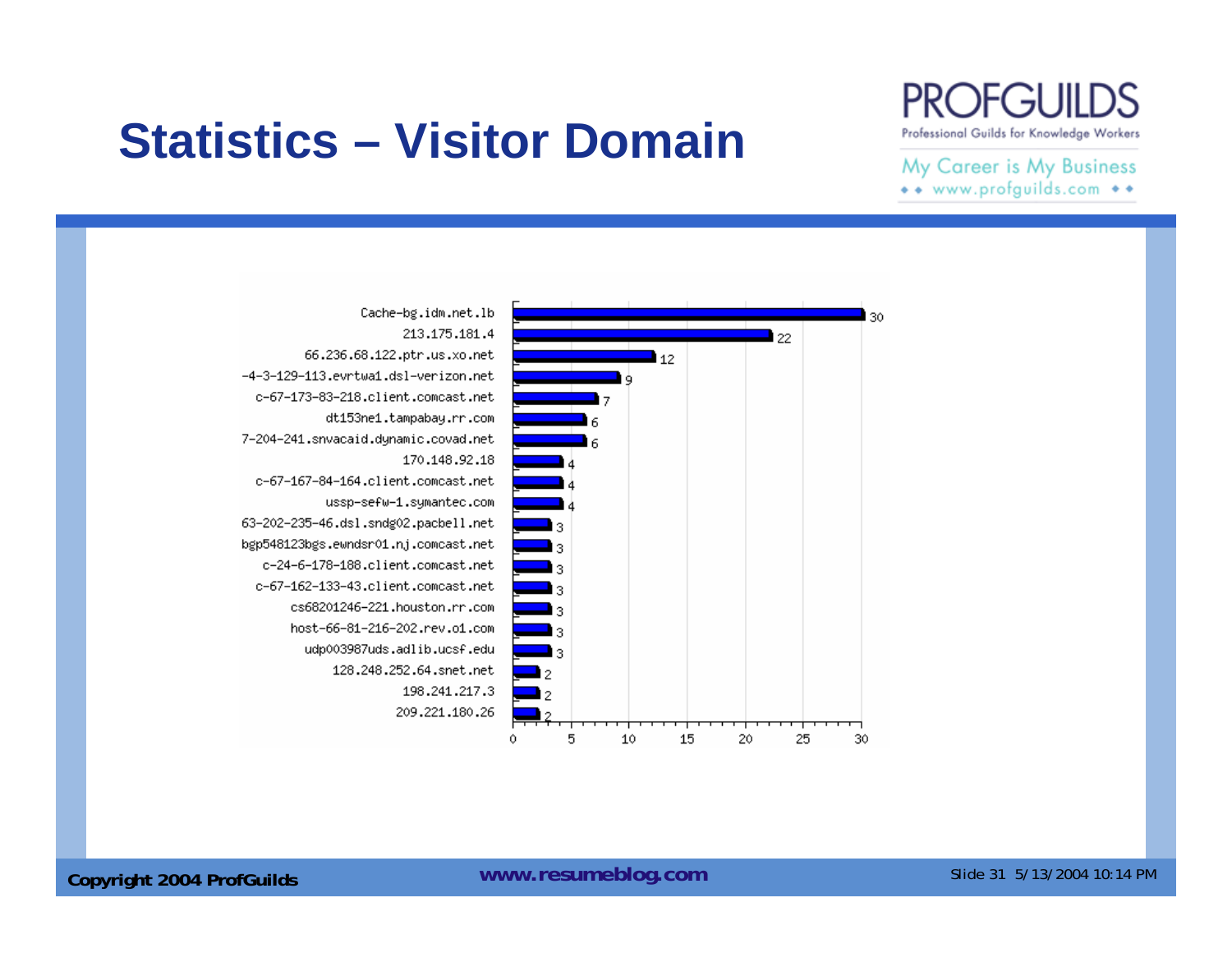## **Statistics – Visitor Domain**

#### **PROFGUIL** Professional Guilds for Knowledge Workers

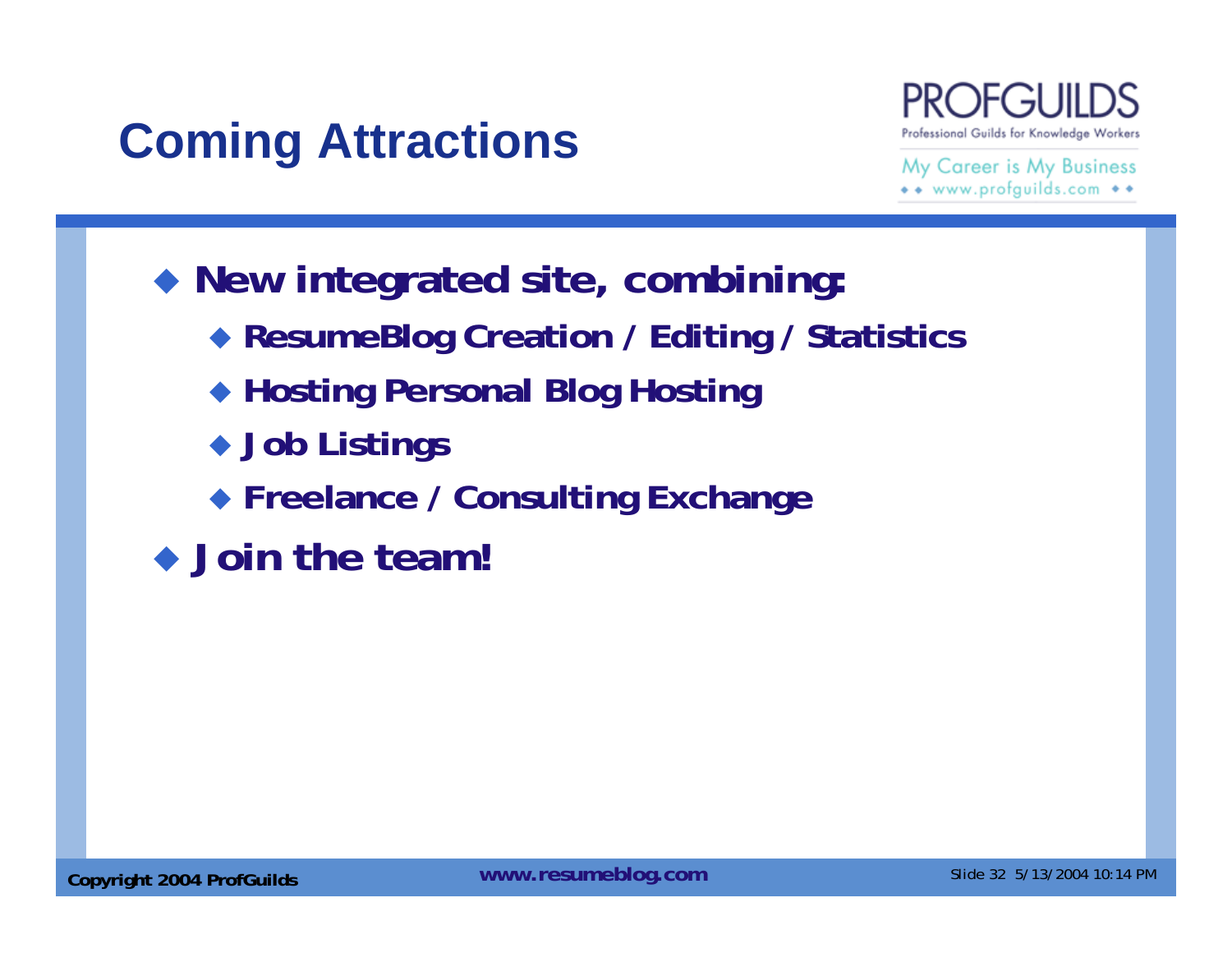## **Coming Attractions**



- **New integrated site, combining:**
	- **ResumeBlog Creation / Editing / Statistics**
	- **Hosting Personal Blog Hosting**
	- **Job Listings**
	- **Freelance / Consulting Exchange**
- ◆ Join the team!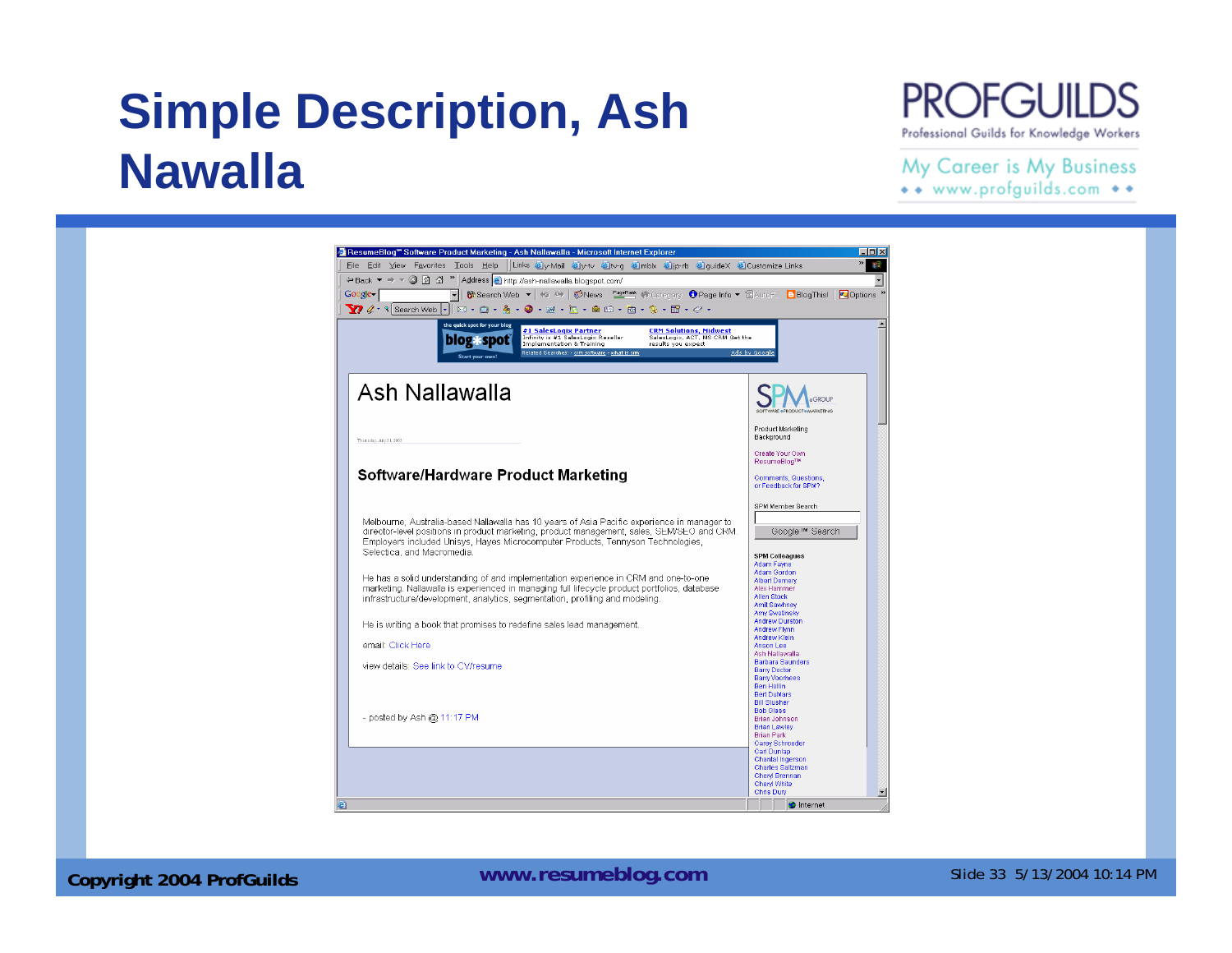## **Simple Description, Ash Nawalla**



#### My Career is My Business

\*\* www.profguilds.com \*\*



#### **Copyright 2004 ProfGuilds Mateurs 2004 ProfGuilds** Mateurs 2004 10:14 PM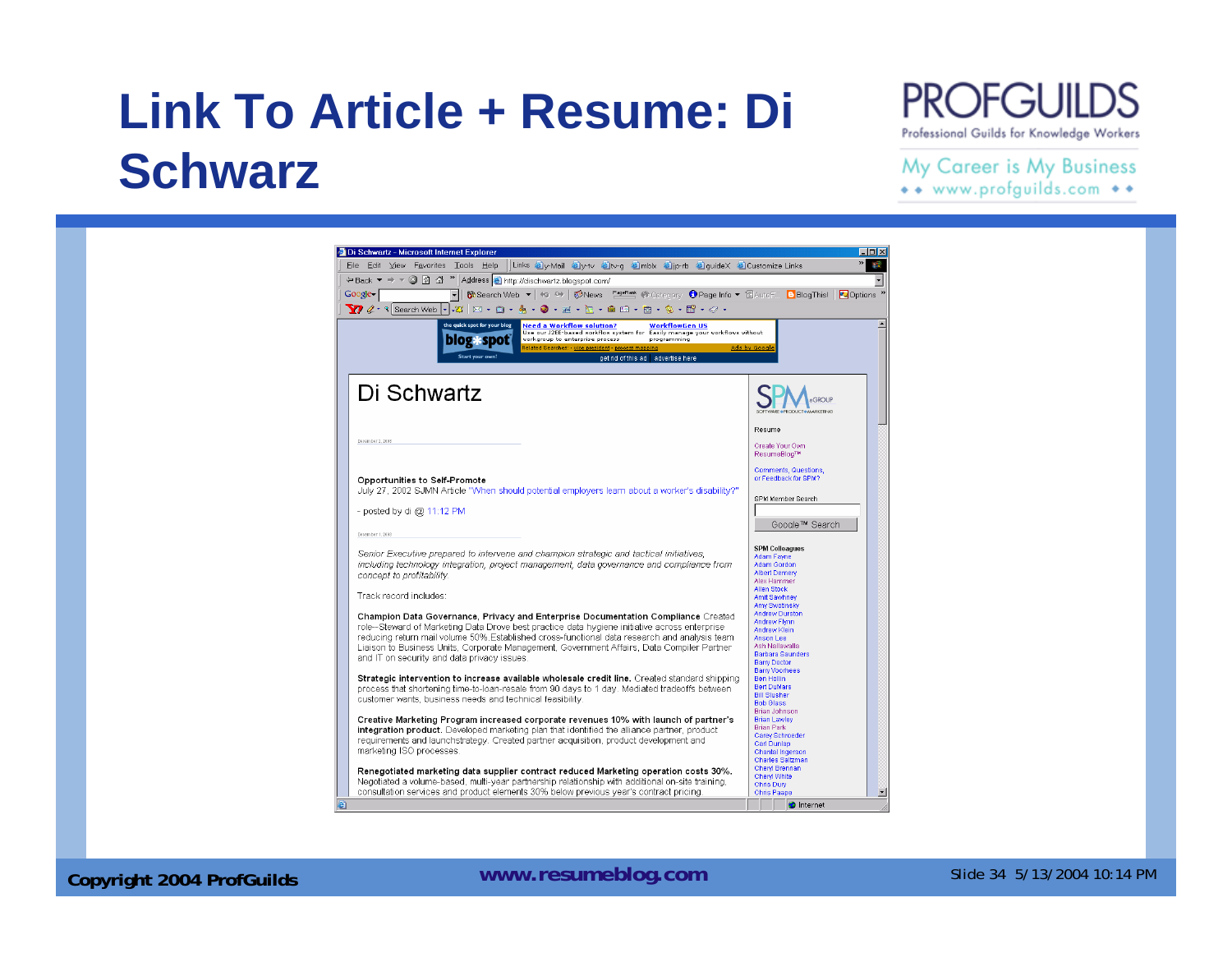## **Link To Article + Resume: Di Schwarz**

#### **PROFGUILDS** Professional Guilds for Knowledge Workers

#### My Career is My Business

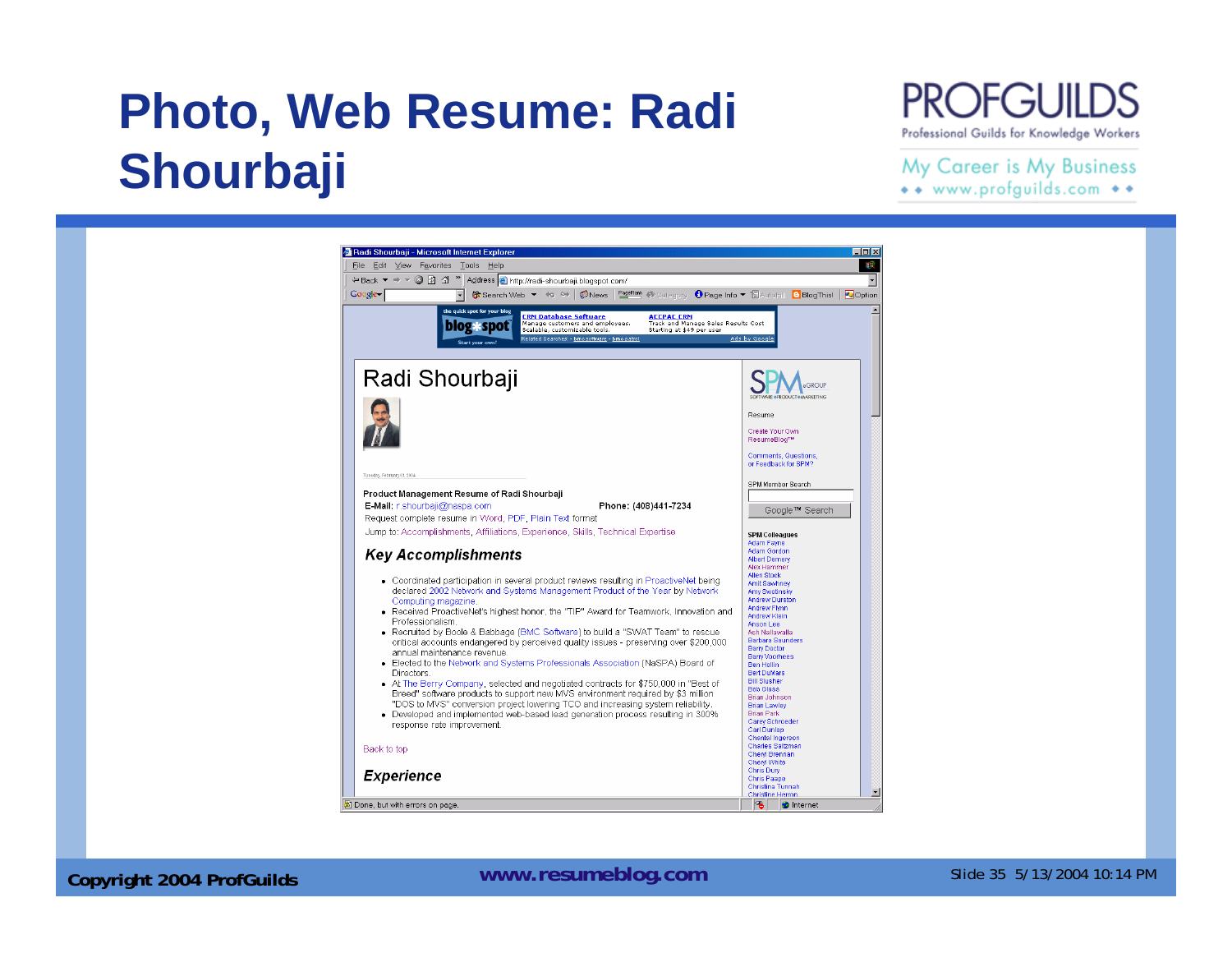## **Photo, Web Resume: Radi Shourbaji**

#### **PROFGUILDS** Professional Guilds for Knowledge Workers

#### My Career is My Business

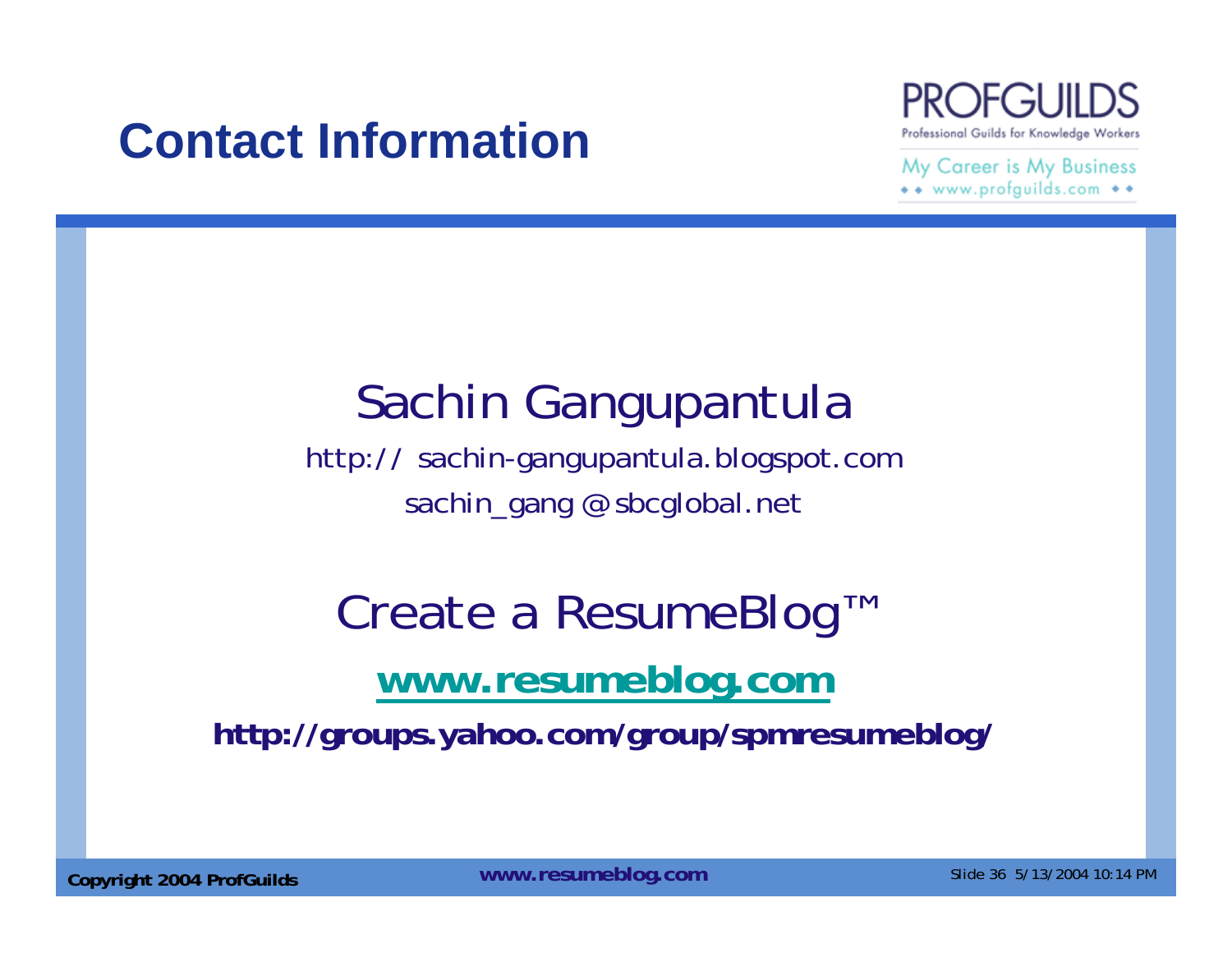### **Contact Information**



My Career is My Business \*\* www.profguilds.com \*\*

## Sachin Gangupantula

http:// sachin-gangupantula.blogspot.com sachin\_gang @ sbcglobal.net

# Create a ResumeBlog™ **www.resumeblog.com**

**http://groups.yahoo.com/group/spmresumeblog/**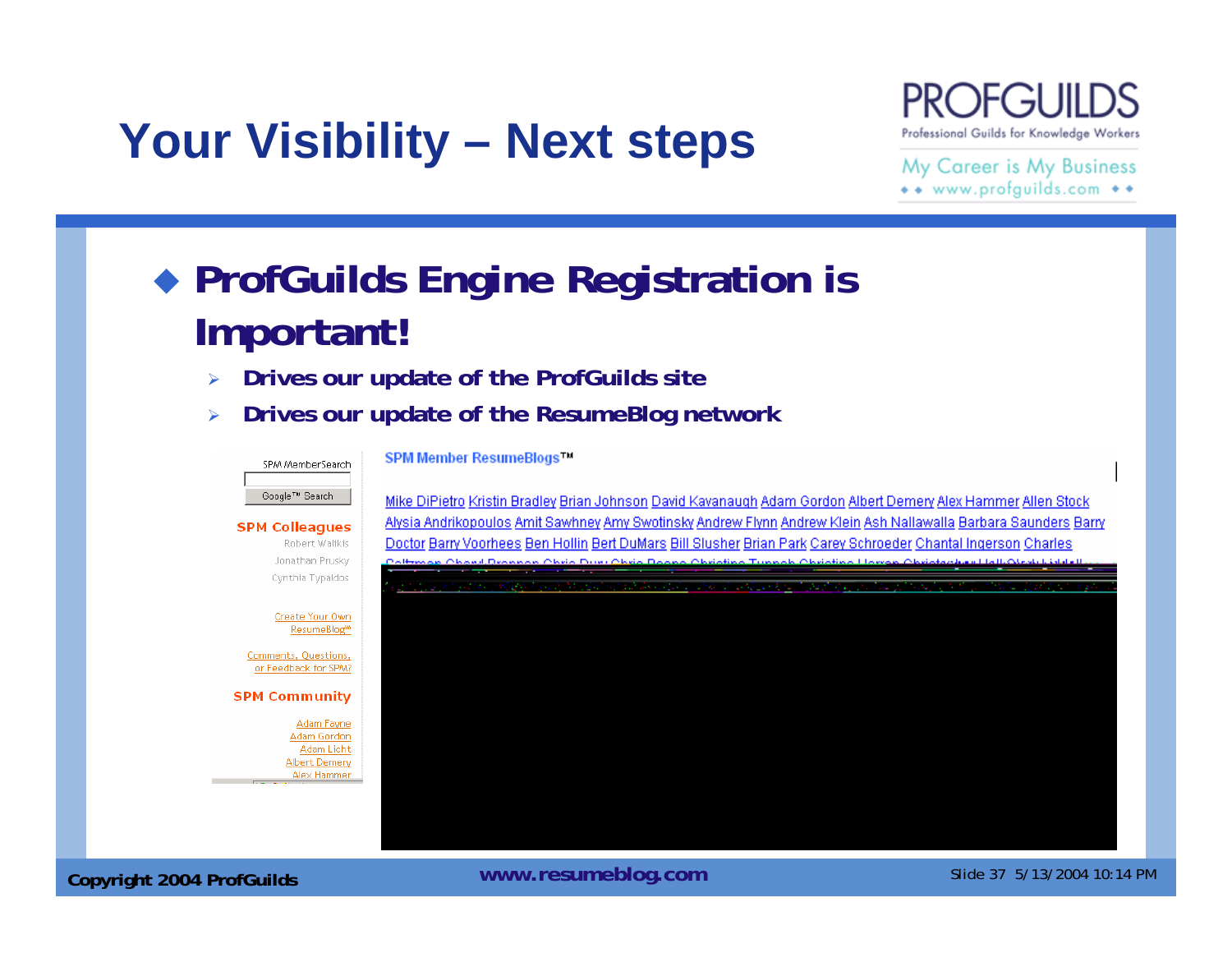## **Your Visibility – Next steps**



#### My Career is My Business \*\* www.profguilds.com \*\*

#### **ProfGuilds Engine Registration is Important!**

- $\blacktriangleright$ **Drives our update of the ProfGuilds site**
- ¾**Drives our update of the ResumeBlog network**



**Copyright 2004 ProfGuilds Mateurs 2004 ProfGuilds** Mateurs 2004 10:14 PM **Copyright 2004 ProfGuilds**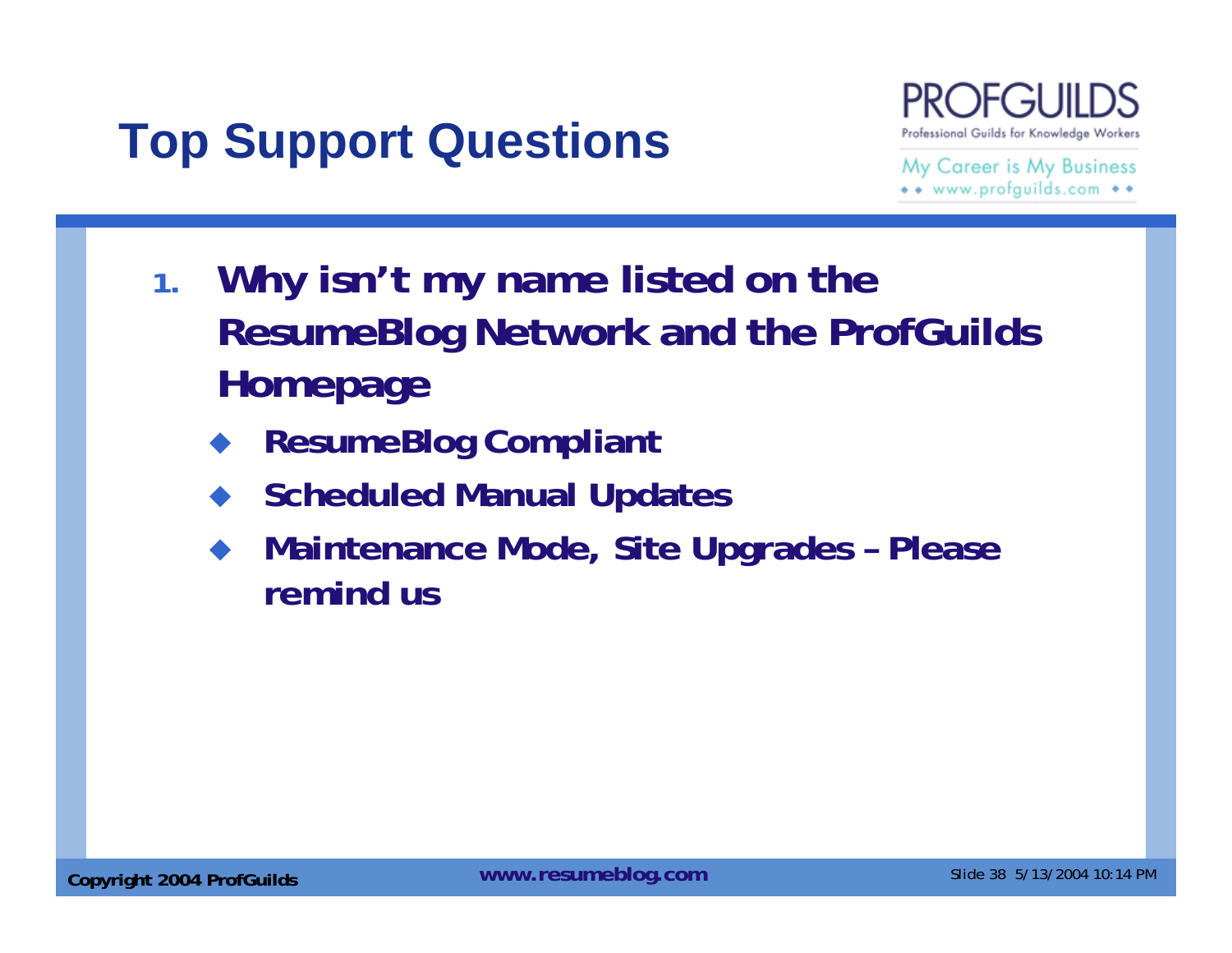## **Top Support Questions**



- **1. Why isn't my name listed on the ResumeBlog Network and the ProfGuilds Homepage**
	- ♦ **ResumeBlog Compliant**
	- **Scheduled Manual Updates**
	- ♦ **Maintenance Mode, Site Upgrades – Please remind us**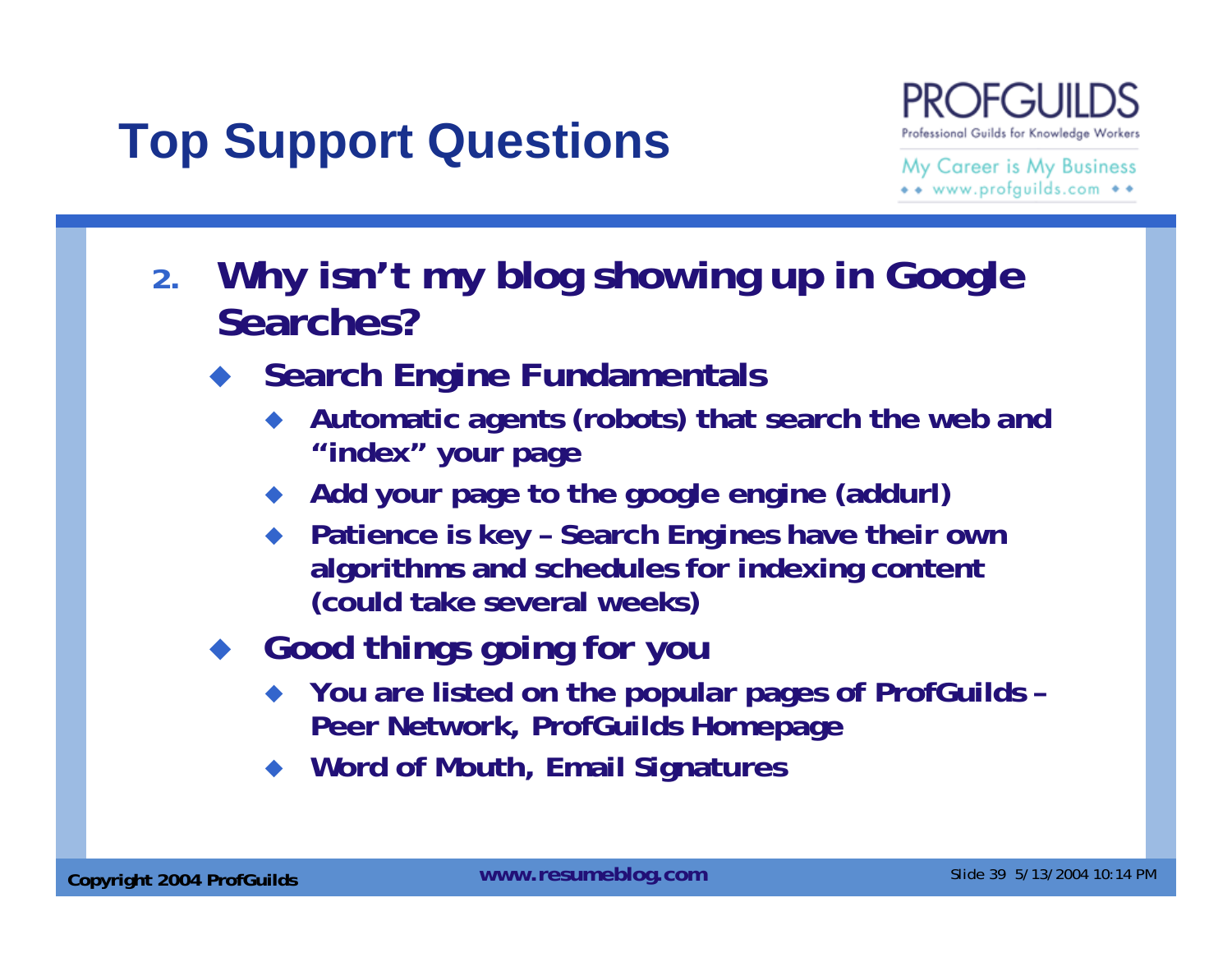## **Top Support Questions**

Professional Guilds for Knowledge Workers

- **2. Why isn't my blog showing up in Google Searches?**
	- ◆ Search Engine Fundamentals
		- ♦ **Automatic agents (robots) that search the web and "index" your page**
		- ♦ **Add your page to the google engine (addurl)**
		- ◆ Patience is key Search Engines have their own **algorithms and schedules for indexing content (could take several weeks)**
	- **Good things going for you**
		- **You are listed on the popular pages of ProfGuilds – Peer Network, ProfGuilds Homepage**
		- ♦ **Word of Mouth, Email Signatures**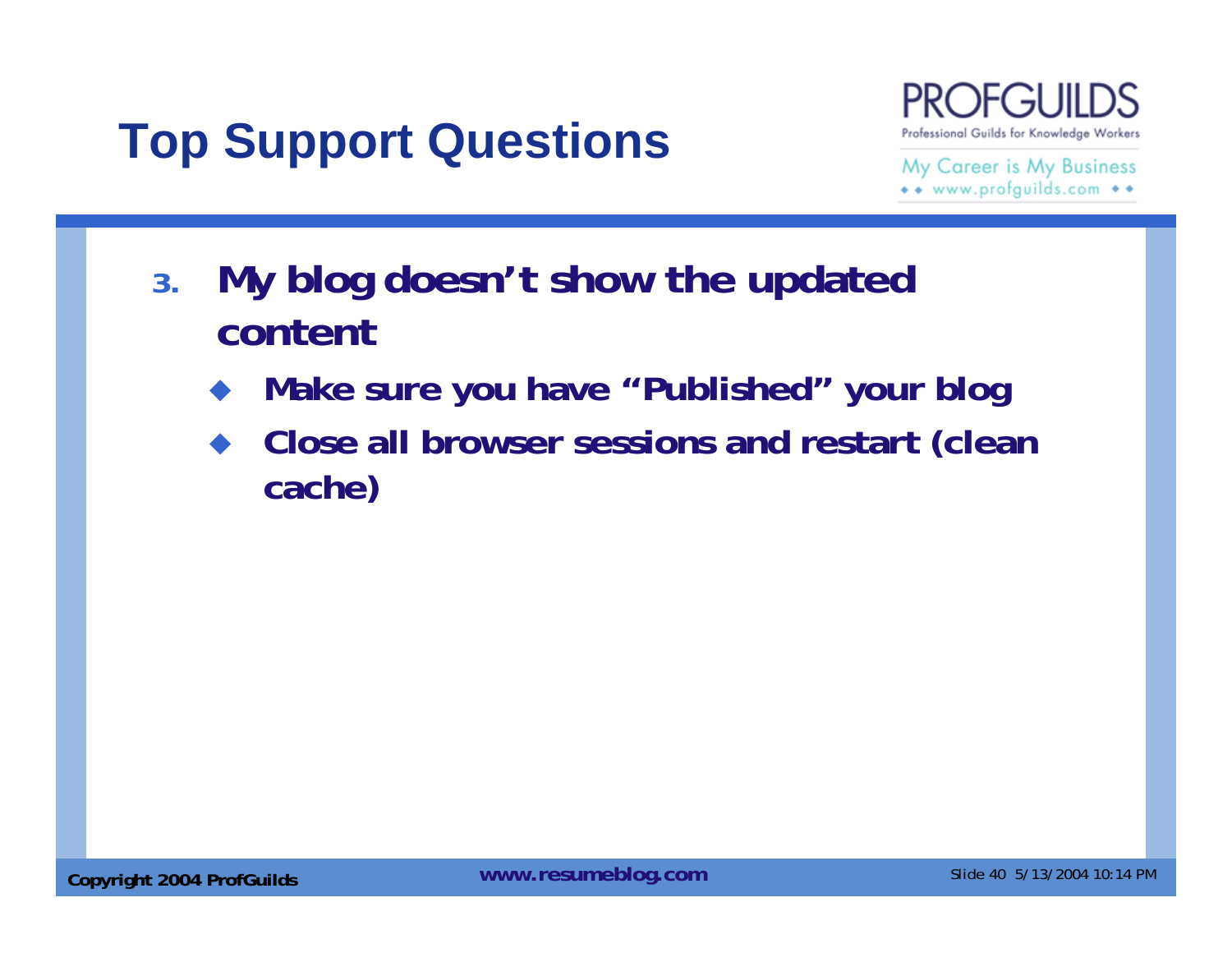## **Top Support Questions**



- **3. My blog doesn't show the updated content**
	- ♦ **Make sure you have "Published" your blog**
	- ♦ **Close all browser sessions and restart (clean cache)**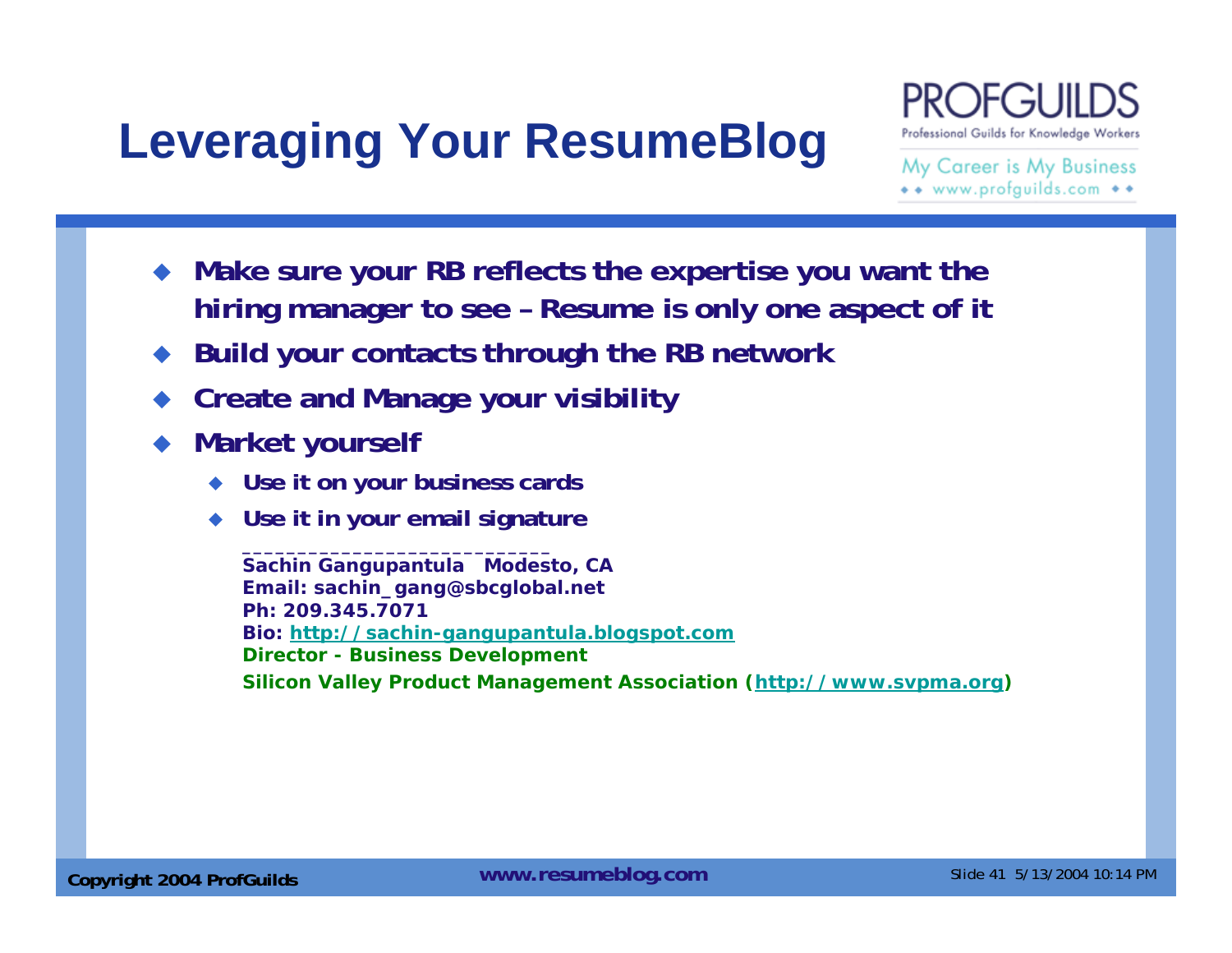## **Leveraging Your ResumeBlog**



My Career is My Business \*\* www.profguilds.com \*\*

- ♦ **Make sure your RB reflects the expertise you want the hiring manager to see – Resume is only one aspect of it**
- ♦ **Build your contacts through the RB network**
- ♦ **Create and Manage your visibility**
- ♦ **Market yourself**
	- ♦ **Use it on your business cards**
	- **Use it in your email signature**

**Sachin Gangupantula Modesto, CA Email: sachin\_gang@sbcglobal.net Ph: 209.345.7071Bio: http://sachin-gangupantula.blogspot.com Director - Business Development Silicon Valley Product Management Association (http://www.svpma.org)**